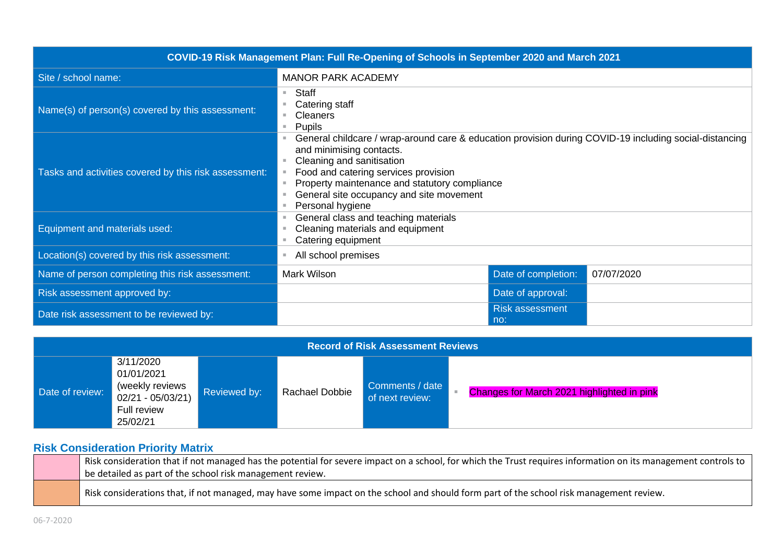|                                                       | COVID-19 Risk Management Plan: Full Re-Opening of Schools in September 2020 and March 2021                                                                                                                                                                                                                               |                               |            |
|-------------------------------------------------------|--------------------------------------------------------------------------------------------------------------------------------------------------------------------------------------------------------------------------------------------------------------------------------------------------------------------------|-------------------------------|------------|
| Site / school name:                                   | <b>MANOR PARK ACADEMY</b>                                                                                                                                                                                                                                                                                                |                               |            |
| Name(s) of person(s) covered by this assessment:      | Staff<br>ш<br>Catering staff<br><b>Cleaners</b><br>Pupils<br>a.                                                                                                                                                                                                                                                          |                               |            |
| Tasks and activities covered by this risk assessment: | General childcare / wrap-around care & education provision during COVID-19 including social-distancing<br>and minimising contacts.<br>Cleaning and sanitisation<br>Food and catering services provision<br>Property maintenance and statutory compliance<br>General site occupancy and site movement<br>Personal hygiene |                               |            |
| Equipment and materials used:                         | General class and teaching materials<br>Cleaning materials and equipment<br>Catering equipment<br>ш                                                                                                                                                                                                                      |                               |            |
| Location(s) covered by this risk assessment:          | All school premises                                                                                                                                                                                                                                                                                                      |                               |            |
| Name of person completing this risk assessment:       | Mark Wilson                                                                                                                                                                                                                                                                                                              | Date of completion:           | 07/07/2020 |
| Risk assessment approved by:                          |                                                                                                                                                                                                                                                                                                                          | Date of approval:             |            |
| Date risk assessment to be reviewed by:               |                                                                                                                                                                                                                                                                                                                          | <b>Risk assessment</b><br>no: |            |

| <b>Record of Risk Assessment Reviews</b> |                                                                                             |              |                |                                    |                                            |
|------------------------------------------|---------------------------------------------------------------------------------------------|--------------|----------------|------------------------------------|--------------------------------------------|
| Date of review:                          | 3/11/2020<br>01/01/2021<br>(weekly reviews<br>$02/21 - 05/03/21$<br>Full review<br>25/02/21 | Reviewed by: | Rachael Dobbie | Comments / date<br>of next review: | Changes for March 2021 highlighted in pink |

## **Risk Consideration Priority Matrix**

| Risk consideration that if not managed has the potential for severe impact on a school, for which the Trust requires information on its management controls to $\,$ |
|---------------------------------------------------------------------------------------------------------------------------------------------------------------------|
| be detailed as part of the school risk management review.                                                                                                           |
| Risk considerations that, if not managed, may have some impact on the school and should form part of the school risk management review.                             |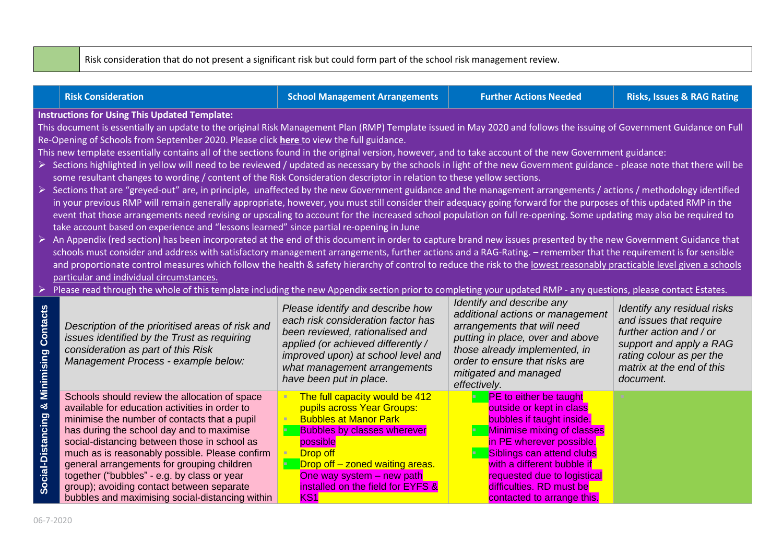Risk consideration that do not present a significant risk but could form part of the school risk management review.

|                                         | <b>Risk Consideration</b>                                                                                                                                                                                                                                                                                                                                                                                                                                                                                                                                                                                                                                                                                                                                                                                                                                                                                                                                                                                                                                                                                                                                                                                                                                                                                                                                                                                                                                                                                                                                                                                                                                                                                                                                                                                                                                                                                                                                                                                                                                                                                                     | <b>School Management Arrangements</b>                                                                                                                                                                                                                                  | <b>Further Actions Needed</b>                                                                                                                                                                                                                                                                        | <b>Risks, Issues &amp; RAG Rating</b>                                                                                                                                              |
|-----------------------------------------|-------------------------------------------------------------------------------------------------------------------------------------------------------------------------------------------------------------------------------------------------------------------------------------------------------------------------------------------------------------------------------------------------------------------------------------------------------------------------------------------------------------------------------------------------------------------------------------------------------------------------------------------------------------------------------------------------------------------------------------------------------------------------------------------------------------------------------------------------------------------------------------------------------------------------------------------------------------------------------------------------------------------------------------------------------------------------------------------------------------------------------------------------------------------------------------------------------------------------------------------------------------------------------------------------------------------------------------------------------------------------------------------------------------------------------------------------------------------------------------------------------------------------------------------------------------------------------------------------------------------------------------------------------------------------------------------------------------------------------------------------------------------------------------------------------------------------------------------------------------------------------------------------------------------------------------------------------------------------------------------------------------------------------------------------------------------------------------------------------------------------------|------------------------------------------------------------------------------------------------------------------------------------------------------------------------------------------------------------------------------------------------------------------------|------------------------------------------------------------------------------------------------------------------------------------------------------------------------------------------------------------------------------------------------------------------------------------------------------|------------------------------------------------------------------------------------------------------------------------------------------------------------------------------------|
| ➤                                       | <b>Instructions for Using This Updated Template:</b><br>This document is essentially an update to the original Risk Management Plan (RMP) Template issued in May 2020 and follows the issuing of Government Guidance on Full<br>Re-Opening of Schools from September 2020. Please click here to view the full guidance.<br>This new template essentially contains all of the sections found in the original version, however, and to take account of the new Government guidance:<br>> Sections highlighted in yellow will need to be reviewed / updated as necessary by the schools in light of the new Government guidance - please note that there will be<br>some resultant changes to wording / content of the Risk Consideration descriptor in relation to these yellow sections.<br>▶ Sections that are "greyed-out" are, in principle, unaffected by the new Government guidance and the management arrangements / actions / methodology identified<br>in your previous RMP will remain generally appropriate, however, you must still consider their adequacy going forward for the purposes of this updated RMP in the<br>event that those arrangements need revising or upscaling to account for the increased school population on full re-opening. Some updating may also be required to<br>take account based on experience and "lessons learned" since partial re-opening in June<br>An Appendix (red section) has been incorporated at the end of this document in order to capture brand new issues presented by the new Government Guidance that<br>schools must consider and address with satisfactory management arrangements, further actions and a RAG-Rating. - remember that the requirement is for sensible<br>and proportionate control measures which follow the health & safety hierarchy of control to reduce the risk to the lowest reasonably practicable level given a schools<br>particular and individual circumstances.<br>Please read through the whole of this template including the new Appendix section prior to completing your updated RMP - any questions, please contact Estates. |                                                                                                                                                                                                                                                                        |                                                                                                                                                                                                                                                                                                      |                                                                                                                                                                                    |
|                                         | Description of the prioritised areas of risk and<br>issues identified by the Trust as requiring<br>consideration as part of this Risk<br>Management Process - example below:                                                                                                                                                                                                                                                                                                                                                                                                                                                                                                                                                                                                                                                                                                                                                                                                                                                                                                                                                                                                                                                                                                                                                                                                                                                                                                                                                                                                                                                                                                                                                                                                                                                                                                                                                                                                                                                                                                                                                  | Please identify and describe how<br>each risk consideration factor has<br>been reviewed, rationalised and<br>applied (or achieved differently /<br>improved upon) at school level and<br>what management arrangements<br>have been put in place.                       | Identify and describe any<br>additional actions or management<br>arrangements that will need<br>putting in place, over and above<br>those already implemented, in<br>order to ensure that risks are<br>mitigated and managed<br>effectively.                                                         | Identify any residual risks<br>and issues that require<br>further action and / or<br>support and apply a RAG<br>rating colour as per the<br>matrix at the end of this<br>document. |
| Social-Distancing & Minimising Contacts | Schools should review the allocation of space<br>available for education activities in order to<br>minimise the number of contacts that a pupil<br>has during the school day and to maximise<br>social-distancing between those in school as<br>much as is reasonably possible. Please confirm<br>general arrangements for grouping children<br>together ("bubbles" - e.g. by class or year<br>group); avoiding contact between separate<br>bubbles and maximising social-distancing within                                                                                                                                                                                                                                                                                                                                                                                                                                                                                                                                                                                                                                                                                                                                                                                                                                                                                                                                                                                                                                                                                                                                                                                                                                                                                                                                                                                                                                                                                                                                                                                                                                   | The full capacity would be 412<br>pupils across Year Groups:<br><b>Bubbles at Manor Park</b><br><b>Bubbles by classes wherever</b><br>possible<br>Drop off<br>Drop off - zoned waiting areas.<br>One way system - new path<br>installed on the field for EYFS &<br>KS1 | <b>PE</b> to either be taught<br>outside or kept in class<br>bubbles if taught inside.<br>Minimise mixing of classes<br>in PE wherever possible.<br>Siblings can attend clubs<br>with a different bubble if<br>requested due to logistical<br>difficulties. RD must be<br>contacted to arrange this. |                                                                                                                                                                                    |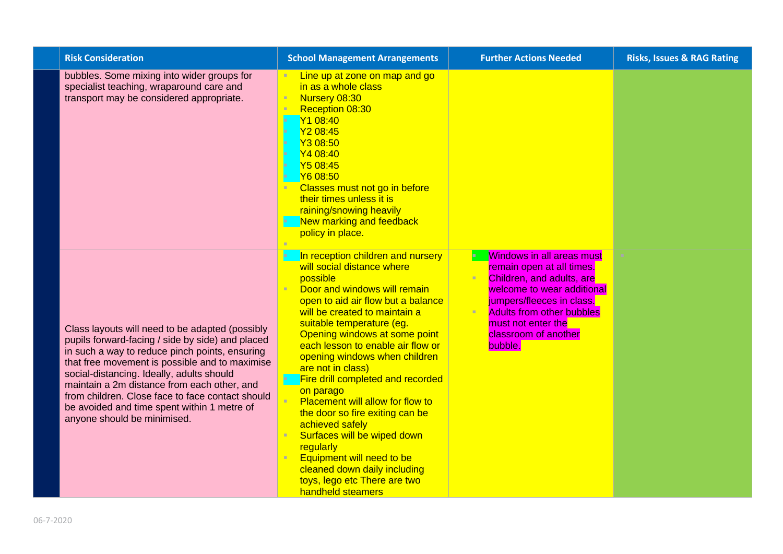| <b>Risk Consideration</b>                                                                                                                                                                                                                                                                                                                                                                                                             | <b>School Management Arrangements</b>                                                                                                                                                                                                                                                                                                                                                                                                                                                                                                                                                                                                                             | <b>Further Actions Needed</b>                                                                                                                                                                                                                      | <b>Risks, Issues &amp; RAG Rating</b> |
|---------------------------------------------------------------------------------------------------------------------------------------------------------------------------------------------------------------------------------------------------------------------------------------------------------------------------------------------------------------------------------------------------------------------------------------|-------------------------------------------------------------------------------------------------------------------------------------------------------------------------------------------------------------------------------------------------------------------------------------------------------------------------------------------------------------------------------------------------------------------------------------------------------------------------------------------------------------------------------------------------------------------------------------------------------------------------------------------------------------------|----------------------------------------------------------------------------------------------------------------------------------------------------------------------------------------------------------------------------------------------------|---------------------------------------|
| bubbles. Some mixing into wider groups for<br>specialist teaching, wraparound care and<br>transport may be considered appropriate.                                                                                                                                                                                                                                                                                                    | Line up at zone on map and go<br>$\mathbf{H}$<br>in as a whole class<br>Nursery 08:30<br>Reception 08:30<br>Y1 08:40<br>Y2 08:45<br>ъ<br>Y3 08:50<br>×<br>Y4 08:40<br>ъ<br>Y5 08:45<br>п<br>Y6 08:50<br>Classes must not go in before<br>their times unless it is<br>raining/snowing heavily<br>New marking and feedback<br>policy in place.                                                                                                                                                                                                                                                                                                                      |                                                                                                                                                                                                                                                    |                                       |
| Class layouts will need to be adapted (possibly<br>pupils forward-facing / side by side) and placed<br>in such a way to reduce pinch points, ensuring<br>that free movement is possible and to maximise<br>social-distancing. Ideally, adults should<br>maintain a 2m distance from each other, and<br>from children. Close face to face contact should<br>be avoided and time spent within 1 metre of<br>anyone should be minimised. | In reception children and nursery<br>will social distance where<br>possible<br>Door and windows will remain<br>open to aid air flow but a balance<br>will be created to maintain a<br>suitable temperature (eg.<br>Opening windows at some point<br>each lesson to enable air flow or<br>opening windows when children<br>are not in class)<br>Fire drill completed and recorded<br>on parago<br><b>Placement will allow for flow to</b><br>×<br>the door so fire exiting can be<br>achieved safely<br>Surfaces will be wiped down<br>regularly<br>Equipment will need to be<br>cleaned down daily including<br>toys, lego etc There are two<br>handheld steamers | <b>Windows in all areas must</b><br>remain open at all times.<br>Children, and adults, are<br>welcome to wear additional<br>jumpers/fleeces in class.<br><b>Adults from other bubbles</b><br>must not enter the<br>classroom of another<br>bubble. |                                       |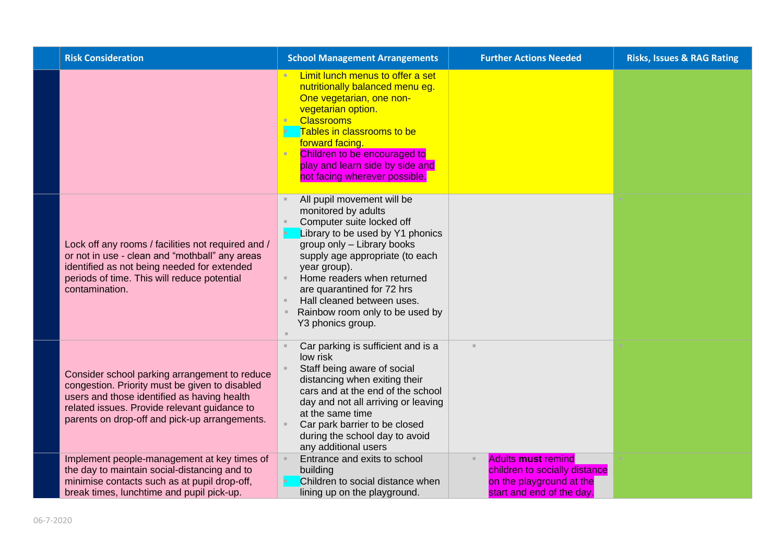| <b>Risk Consideration</b>                                                                                                                                                                                                                       | <b>School Management Arrangements</b>                                                                                                                                                                                                                                                                                                                 | <b>Further Actions Needed</b>                                                                                       | <b>Risks, Issues &amp; RAG Rating</b> |
|-------------------------------------------------------------------------------------------------------------------------------------------------------------------------------------------------------------------------------------------------|-------------------------------------------------------------------------------------------------------------------------------------------------------------------------------------------------------------------------------------------------------------------------------------------------------------------------------------------------------|---------------------------------------------------------------------------------------------------------------------|---------------------------------------|
|                                                                                                                                                                                                                                                 | Limit lunch menus to offer a set<br>nutritionally balanced menu eg.<br>One vegetarian, one non-<br>vegetarian option.<br><b>Classrooms</b><br>Tables in classrooms to be<br>forward facing.<br>Children to be encouraged to<br>play and learn side by side and<br>not facing wherever possible.                                                       |                                                                                                                     |                                       |
| Lock off any rooms / facilities not required and /<br>or not in use - clean and "mothball" any areas<br>identified as not being needed for extended<br>periods of time. This will reduce potential<br>contamination.                            | All pupil movement will be<br>monitored by adults<br>Computer suite locked off<br>Library to be used by Y1 phonics<br>group only - Library books<br>supply age appropriate (to each<br>year group).<br>Home readers when returned<br>are quarantined for 72 hrs<br>Hall cleaned between uses.<br>Rainbow room only to be used by<br>Y3 phonics group. |                                                                                                                     |                                       |
| Consider school parking arrangement to reduce<br>congestion. Priority must be given to disabled<br>users and those identified as having health<br>related issues. Provide relevant guidance to<br>parents on drop-off and pick-up arrangements. | Car parking is sufficient and is a<br>low risk<br>Staff being aware of social<br>distancing when exiting their<br>cars and at the end of the school<br>day and not all arriving or leaving<br>at the same time<br>Car park barrier to be closed<br>during the school day to avoid<br>any additional users                                             | $\blacksquare$                                                                                                      |                                       |
| Implement people-management at key times of<br>the day to maintain social-distancing and to<br>minimise contacts such as at pupil drop-off,<br>break times, lunchtime and pupil pick-up.                                                        | Entrance and exits to school<br>building<br>Children to social distance when<br>lining up on the playground.                                                                                                                                                                                                                                          | <b>Adults must remind</b><br>children to socially distance<br>on the playground at the<br>start and end of the day. |                                       |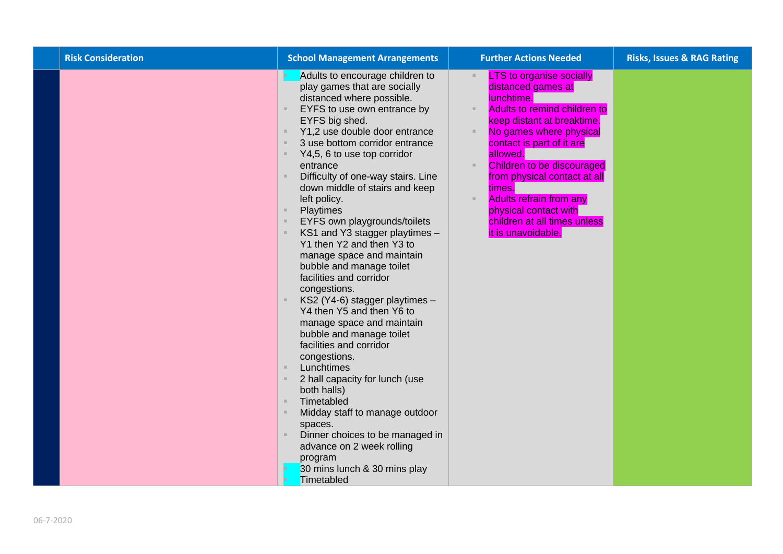| <b>Risk Consideration</b> | <b>School Management Arrangements</b>                                                                                                                                                                                                                                                                                                                                                                                                                                                                                                                                                                                                                                                                                                                                                                                                                                                                                                                                                                                                       | <b>Further Actions Needed</b>                                                                                                                                                                                                                                                                                                                                                                  | <b>Risks, Issues &amp; RAG Rating</b> |
|---------------------------|---------------------------------------------------------------------------------------------------------------------------------------------------------------------------------------------------------------------------------------------------------------------------------------------------------------------------------------------------------------------------------------------------------------------------------------------------------------------------------------------------------------------------------------------------------------------------------------------------------------------------------------------------------------------------------------------------------------------------------------------------------------------------------------------------------------------------------------------------------------------------------------------------------------------------------------------------------------------------------------------------------------------------------------------|------------------------------------------------------------------------------------------------------------------------------------------------------------------------------------------------------------------------------------------------------------------------------------------------------------------------------------------------------------------------------------------------|---------------------------------------|
|                           | Adults to encourage children to<br>play games that are socially<br>distanced where possible.<br>EYFS to use own entrance by<br>EYFS big shed.<br>Y1,2 use double door entrance<br>3 use bottom corridor entrance<br>$\mathbb{R}^n$<br>Y4,5, 6 to use top corridor<br>entrance<br>Difficulty of one-way stairs. Line<br>down middle of stairs and keep<br>left policy.<br>Playtimes<br>EYFS own playgrounds/toilets<br>KS1 and Y3 stagger playtimes -<br>Y1 then Y2 and then Y3 to<br>manage space and maintain<br>bubble and manage toilet<br>facilities and corridor<br>congestions.<br>KS2 (Y4-6) stagger playtimes -<br>Y4 then Y5 and then Y6 to<br>manage space and maintain<br>bubble and manage toilet<br>facilities and corridor<br>congestions.<br>Lunchtimes<br>$\mathbb{R}$<br>2 hall capacity for lunch (use<br>both halls)<br>Timetabled<br>$\mathbb{R}$<br>Midday staff to manage outdoor<br>spaces.<br>Dinner choices to be managed in<br>advance on 2 week rolling<br>program<br>30 mins lunch & 30 mins play<br>Timetabled | <b>LTS to organise socially</b><br>distanced games at<br>lunchtime.<br>Adults to remind children to<br>keep distant at breaktime.<br>No games where physical<br>contact is part of it are<br>allowed.<br>Children to be discouraged<br>from physical contact at all<br>times.<br><b>Adults refrain from any</b><br>physical contact with<br>children at all times unless<br>it is unavoidable. |                                       |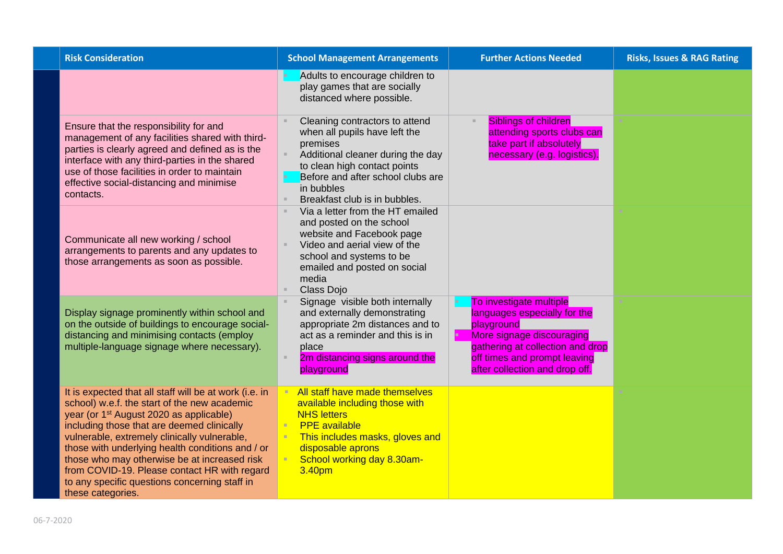| <b>Risk Consideration</b>                                                                                                                                                                                                                                                                                                                                                                                                                                                             | <b>School Management Arrangements</b>                                                                                                                                                                                                | <b>Further Actions Needed</b>                                                                                                                                                                            | <b>Risks, Issues &amp; RAG Rating</b> |
|---------------------------------------------------------------------------------------------------------------------------------------------------------------------------------------------------------------------------------------------------------------------------------------------------------------------------------------------------------------------------------------------------------------------------------------------------------------------------------------|--------------------------------------------------------------------------------------------------------------------------------------------------------------------------------------------------------------------------------------|----------------------------------------------------------------------------------------------------------------------------------------------------------------------------------------------------------|---------------------------------------|
|                                                                                                                                                                                                                                                                                                                                                                                                                                                                                       | Adults to encourage children to<br>play games that are socially<br>distanced where possible.                                                                                                                                         |                                                                                                                                                                                                          |                                       |
| Ensure that the responsibility for and<br>management of any facilities shared with third-<br>parties is clearly agreed and defined as is the<br>interface with any third-parties in the shared<br>use of those facilities in order to maintain<br>effective social-distancing and minimise<br>contacts.                                                                                                                                                                               | Cleaning contractors to attend<br>when all pupils have left the<br>premises<br>Additional cleaner during the day<br>to clean high contact points<br>Before and after school clubs are<br>in bubbles<br>Breakfast club is in bubbles. | <b>Siblings of children</b><br>attending sports clubs can<br>take part if absolutely<br>necessary (e.g. logistics).                                                                                      |                                       |
| Communicate all new working / school<br>arrangements to parents and any updates to<br>those arrangements as soon as possible.                                                                                                                                                                                                                                                                                                                                                         | Via a letter from the HT emailed<br>and posted on the school<br>website and Facebook page<br>Video and aerial view of the<br>school and systems to be<br>emailed and posted on social<br>media<br>Class Dojo                         |                                                                                                                                                                                                          |                                       |
| Display signage prominently within school and<br>on the outside of buildings to encourage social-<br>distancing and minimising contacts (employ<br>multiple-language signage where necessary).                                                                                                                                                                                                                                                                                        | Signage visible both internally<br>and externally demonstrating<br>appropriate 2m distances and to<br>act as a reminder and this is in<br>place<br>2m distancing signs around the<br>playground                                      | To investigate multiple<br>languages especially for the<br>playground<br>More signage discouraging<br>gathering at collection and drop<br>off times and prompt leaving<br>after collection and drop off. |                                       |
| It is expected that all staff will be at work (i.e. in<br>school) w.e.f. the start of the new academic<br>year (or 1 <sup>st</sup> August 2020 as applicable)<br>including those that are deemed clinically<br>vulnerable, extremely clinically vulnerable,<br>those with underlying health conditions and / or<br>those who may otherwise be at increased risk<br>from COVID-19. Please contact HR with regard<br>to any specific questions concerning staff in<br>these categories. | All staff have made themselves<br>available including those with<br><b>NHS letters</b><br><b>PPE</b> available<br>This includes masks, gloves and<br>disposable aprons<br>School working day 8.30am-<br>3.40pm                       |                                                                                                                                                                                                          |                                       |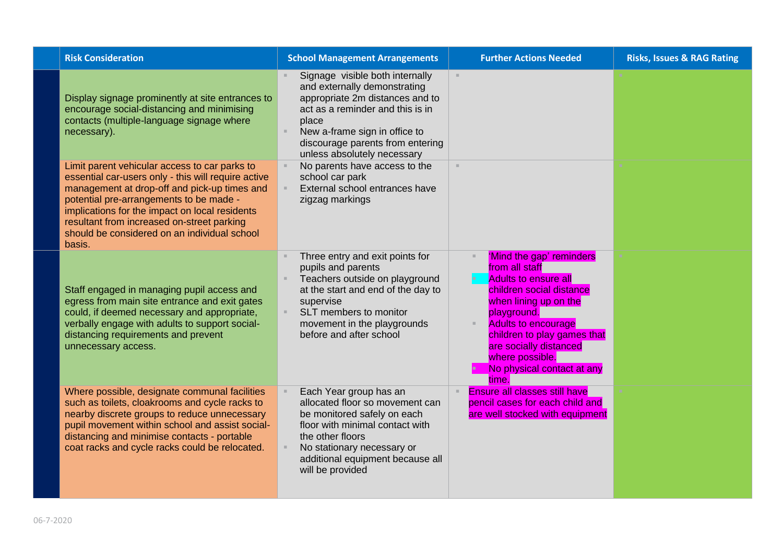| <b>Risk Consideration</b>                                                                                                                                                                                                                                                                                                                                 | <b>School Management Arrangements</b>                                                                                                                                                                                                               | <b>Further Actions Needed</b>                                                                                                                                                                                                                                                                  | <b>Risks, Issues &amp; RAG Rating</b> |
|-----------------------------------------------------------------------------------------------------------------------------------------------------------------------------------------------------------------------------------------------------------------------------------------------------------------------------------------------------------|-----------------------------------------------------------------------------------------------------------------------------------------------------------------------------------------------------------------------------------------------------|------------------------------------------------------------------------------------------------------------------------------------------------------------------------------------------------------------------------------------------------------------------------------------------------|---------------------------------------|
| Display signage prominently at site entrances to<br>encourage social-distancing and minimising<br>contacts (multiple-language signage where<br>necessary).                                                                                                                                                                                                | Signage visible both internally<br>and externally demonstrating<br>appropriate 2m distances and to<br>act as a reminder and this is in<br>place<br>New a-frame sign in office to<br>discourage parents from entering<br>unless absolutely necessary | $\mathcal{H}$ .                                                                                                                                                                                                                                                                                |                                       |
| Limit parent vehicular access to car parks to<br>essential car-users only - this will require active<br>management at drop-off and pick-up times and<br>potential pre-arrangements to be made -<br>implications for the impact on local residents<br>resultant from increased on-street parking<br>should be considered on an individual school<br>basis. | No parents have access to the<br>school car park<br>External school entrances have<br>zigzag markings                                                                                                                                               | ×.                                                                                                                                                                                                                                                                                             |                                       |
| Staff engaged in managing pupil access and<br>egress from main site entrance and exit gates<br>could, if deemed necessary and appropriate,<br>verbally engage with adults to support social-<br>distancing requirements and prevent<br>unnecessary access.                                                                                                | Three entry and exit points for<br>pupils and parents<br>Teachers outside on playground<br>at the start and end of the day to<br>supervise<br>SLT members to monitor<br>$\mathbb{R}^n$<br>movement in the playgrounds<br>before and after school    | 'Mind the gap' reminders<br>from all staff<br><b>Adults to ensure all</b><br>children social distance<br>when lining up on the<br>playground.<br><b>Adults to encourage</b><br>children to play games that<br>are socially distanced<br>where possible.<br>No physical contact at any<br>time. |                                       |
| Where possible, designate communal facilities<br>such as toilets, cloakrooms and cycle racks to<br>nearby discrete groups to reduce unnecessary<br>pupil movement within school and assist social-<br>distancing and minimise contacts - portable<br>coat racks and cycle racks could be relocated.                                                       | Each Year group has an<br>allocated floor so movement can<br>be monitored safely on each<br>floor with minimal contact with<br>the other floors<br>No stationary necessary or<br>additional equipment because all<br>will be provided               | <b>Ensure all classes still have</b><br>pencil cases for each child and<br>are well stocked with equipment                                                                                                                                                                                     |                                       |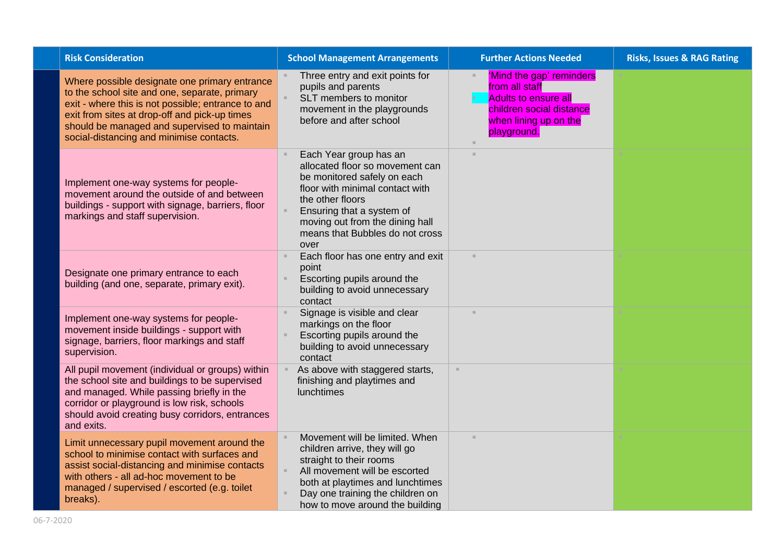| <b>Risk Consideration</b>                                                                                                                                                                                                                                                                         | <b>School Management Arrangements</b>                                                                                                                                                                                                                      | <b>Further Actions Needed</b>                                                                                                                 | <b>Risks, Issues &amp; RAG Rating</b> |
|---------------------------------------------------------------------------------------------------------------------------------------------------------------------------------------------------------------------------------------------------------------------------------------------------|------------------------------------------------------------------------------------------------------------------------------------------------------------------------------------------------------------------------------------------------------------|-----------------------------------------------------------------------------------------------------------------------------------------------|---------------------------------------|
| Where possible designate one primary entrance<br>to the school site and one, separate, primary<br>exit - where this is not possible; entrance to and<br>exit from sites at drop-off and pick-up times<br>should be managed and supervised to maintain<br>social-distancing and minimise contacts. | Three entry and exit points for<br>pupils and parents<br>SLT members to monitor<br>movement in the playgrounds<br>before and after school                                                                                                                  | 'Mind the gap' reminders<br>from all staff<br><b>Adults to ensure all</b><br>children social distance<br>when lining up on the<br>playground. |                                       |
| Implement one-way systems for people-<br>movement around the outside of and between<br>buildings - support with signage, barriers, floor<br>markings and staff supervision.                                                                                                                       | Each Year group has an<br>allocated floor so movement can<br>be monitored safely on each<br>floor with minimal contact with<br>the other floors<br>Ensuring that a system of<br>moving out from the dining hall<br>means that Bubbles do not cross<br>over |                                                                                                                                               |                                       |
| Designate one primary entrance to each<br>building (and one, separate, primary exit).                                                                                                                                                                                                             | Each floor has one entry and exit<br>point<br>Escorting pupils around the<br>building to avoid unnecessary<br>contact                                                                                                                                      | $\mathbb{R}^n$                                                                                                                                |                                       |
| Implement one-way systems for people-<br>movement inside buildings - support with<br>signage, barriers, floor markings and staff<br>supervision.                                                                                                                                                  | Signage is visible and clear<br>markings on the floor<br>Escorting pupils around the<br>building to avoid unnecessary<br>contact                                                                                                                           | $\mathbf{u}$                                                                                                                                  |                                       |
| All pupil movement (individual or groups) within<br>the school site and buildings to be supervised<br>and managed. While passing briefly in the<br>corridor or playground is low risk, schools<br>should avoid creating busy corridors, entrances<br>and exits.                                   | As above with staggered starts,<br>finishing and playtimes and<br>lunchtimes                                                                                                                                                                               | $\mathbb{R}^n$                                                                                                                                |                                       |
| Limit unnecessary pupil movement around the<br>school to minimise contact with surfaces and<br>assist social-distancing and minimise contacts<br>with others - all ad-hoc movement to be<br>managed / supervised / escorted (e.g. toilet<br>breaks).                                              | Movement will be limited. When<br>children arrive, they will go<br>straight to their rooms<br>All movement will be escorted<br>both at playtimes and lunchtimes<br>Day one training the children on<br>how to move around the building                     |                                                                                                                                               |                                       |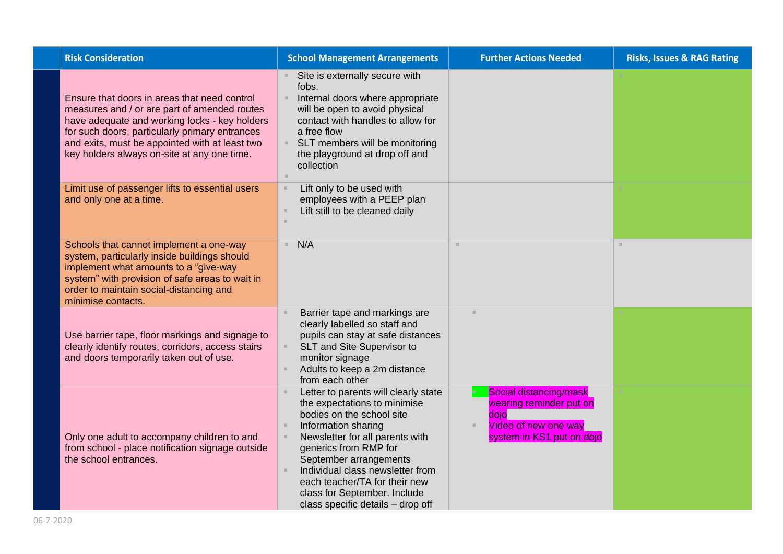| <b>Risk Consideration</b>                                                                                                                                                                                                                                                                        | <b>School Management Arrangements</b>                                                                                                                                                                                                                                                                                                                    | <b>Further Actions Needed</b>                                                                                  | <b>Risks, Issues &amp; RAG Rating</b> |
|--------------------------------------------------------------------------------------------------------------------------------------------------------------------------------------------------------------------------------------------------------------------------------------------------|----------------------------------------------------------------------------------------------------------------------------------------------------------------------------------------------------------------------------------------------------------------------------------------------------------------------------------------------------------|----------------------------------------------------------------------------------------------------------------|---------------------------------------|
| Ensure that doors in areas that need control<br>measures and / or are part of amended routes<br>have adequate and working locks - key holders<br>for such doors, particularly primary entrances<br>and exits, must be appointed with at least two<br>key holders always on-site at any one time. | Site is externally secure with<br>fobs.<br>Internal doors where appropriate<br>will be open to avoid physical<br>contact with handles to allow for<br>a free flow<br>SLT members will be monitoring<br>the playground at drop off and<br>collection                                                                                                      |                                                                                                                |                                       |
| Limit use of passenger lifts to essential users<br>and only one at a time.                                                                                                                                                                                                                       | Lift only to be used with<br>employees with a PEEP plan<br>Lift still to be cleaned daily                                                                                                                                                                                                                                                                |                                                                                                                |                                       |
| Schools that cannot implement a one-way<br>system, particularly inside buildings should<br>implement what amounts to a "give-way<br>system" with provision of safe areas to wait in<br>order to maintain social-distancing and<br>minimise contacts.                                             | N/A                                                                                                                                                                                                                                                                                                                                                      | ×.                                                                                                             | $\mathbb{R}^2$                        |
| Use barrier tape, floor markings and signage to<br>clearly identify routes, corridors, access stairs<br>and doors temporarily taken out of use.                                                                                                                                                  | Barrier tape and markings are<br>clearly labelled so staff and<br>pupils can stay at safe distances<br>SLT and Site Supervisor to<br>monitor signage<br>Adults to keep a 2m distance<br>from each other                                                                                                                                                  | $\mathbf{m}$                                                                                                   |                                       |
| Only one adult to accompany children to and<br>from school - place notification signage outside<br>the school entrances.                                                                                                                                                                         | Letter to parents will clearly state<br>the expectations to minimise<br>bodies on the school site<br>Information sharing<br>Newsletter for all parents with<br>generics from RMP for<br>September arrangements<br>Individual class newsletter from<br>each teacher/TA for their new<br>class for September. Include<br>class specific details - drop off | Social distancing/mask<br>wearing reminder put on<br>dojo<br>Video of new one way<br>system in KS1 put on dojo |                                       |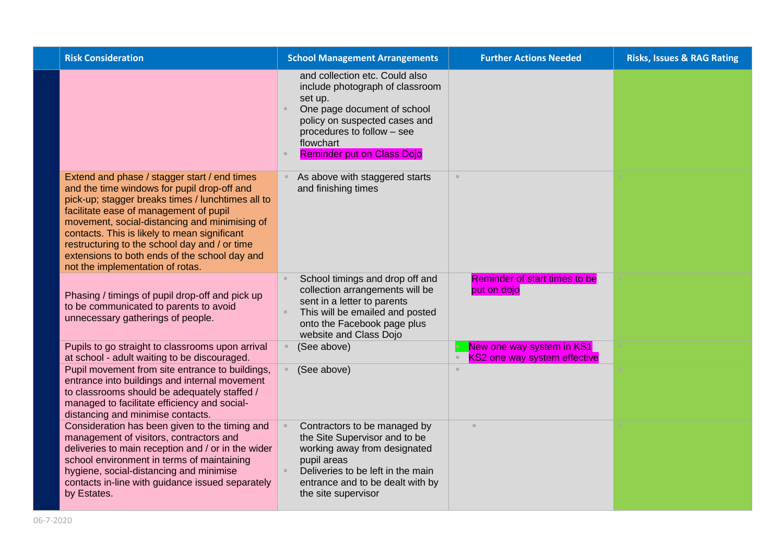| <b>Risk Consideration</b>                                                                                                                                                                                                                                                                                                                                                                                                         | <b>School Management Arrangements</b>                                                                                                                                                                                        | <b>Further Actions Needed</b>                                    | <b>Risks, Issues &amp; RAG Rating</b> |
|-----------------------------------------------------------------------------------------------------------------------------------------------------------------------------------------------------------------------------------------------------------------------------------------------------------------------------------------------------------------------------------------------------------------------------------|------------------------------------------------------------------------------------------------------------------------------------------------------------------------------------------------------------------------------|------------------------------------------------------------------|---------------------------------------|
|                                                                                                                                                                                                                                                                                                                                                                                                                                   | and collection etc. Could also<br>include photograph of classroom<br>set up.<br>One page document of school<br>policy on suspected cases and<br>procedures to follow - see<br>flowchart<br><b>Reminder put on Class Dojo</b> |                                                                  |                                       |
| Extend and phase / stagger start / end times<br>and the time windows for pupil drop-off and<br>pick-up; stagger breaks times / lunchtimes all to<br>facilitate ease of management of pupil<br>movement, social-distancing and minimising of<br>contacts. This is likely to mean significant<br>restructuring to the school day and / or time<br>extensions to both ends of the school day and<br>not the implementation of rotas. | As above with staggered starts<br>and finishing times                                                                                                                                                                        | $\mathbb{R}^n$                                                   |                                       |
| Phasing / timings of pupil drop-off and pick up<br>to be communicated to parents to avoid<br>unnecessary gatherings of people.                                                                                                                                                                                                                                                                                                    | School timings and drop off and<br>collection arrangements will be<br>sent in a letter to parents<br>This will be emailed and posted<br>onto the Facebook page plus<br>website and Class Dojo                                | Reminder of start times to be<br>put on dojo                     |                                       |
| Pupils to go straight to classrooms upon arrival<br>at school - adult waiting to be discouraged.                                                                                                                                                                                                                                                                                                                                  | (See above)                                                                                                                                                                                                                  | New one way system in KS1<br><b>KS2 one way system effective</b> |                                       |
| Pupil movement from site entrance to buildings,<br>entrance into buildings and internal movement<br>to classrooms should be adequately staffed /<br>managed to facilitate efficiency and social-<br>distancing and minimise contacts.                                                                                                                                                                                             | (See above)                                                                                                                                                                                                                  | ×.                                                               |                                       |
| Consideration has been given to the timing and<br>management of visitors, contractors and<br>deliveries to main reception and / or in the wider<br>school environment in terms of maintaining<br>hygiene, social-distancing and minimise<br>contacts in-line with guidance issued separately<br>by Estates.                                                                                                                       | Contractors to be managed by<br>the Site Supervisor and to be<br>working away from designated<br>pupil areas<br>Deliveries to be left in the main<br>entrance and to be dealt with by<br>the site supervisor                 |                                                                  |                                       |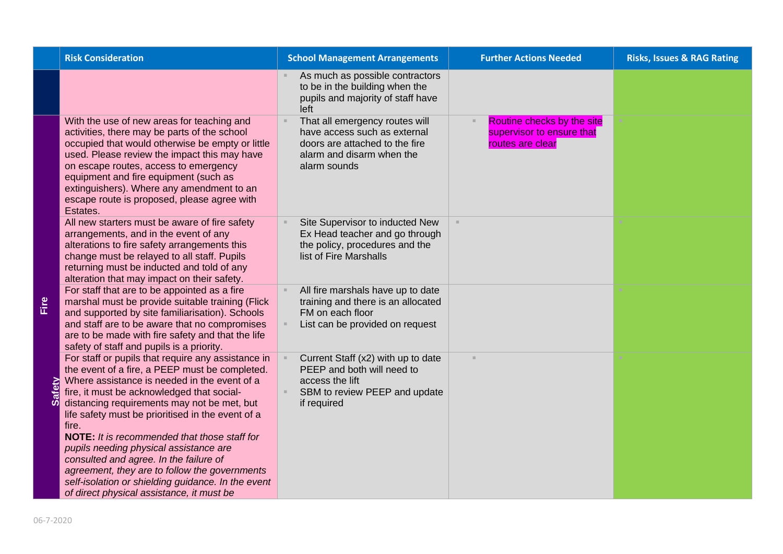|             | <b>Risk Consideration</b>                                                                                                                                                                                                                                                                                                                                                                                                                                                                                                                                                                                      | <b>School Management Arrangements</b>                                                                                                         | <b>Further Actions Needed</b>                                               | <b>Risks, Issues &amp; RAG Rating</b> |
|-------------|----------------------------------------------------------------------------------------------------------------------------------------------------------------------------------------------------------------------------------------------------------------------------------------------------------------------------------------------------------------------------------------------------------------------------------------------------------------------------------------------------------------------------------------------------------------------------------------------------------------|-----------------------------------------------------------------------------------------------------------------------------------------------|-----------------------------------------------------------------------------|---------------------------------------|
|             |                                                                                                                                                                                                                                                                                                                                                                                                                                                                                                                                                                                                                | As much as possible contractors<br>to be in the building when the<br>pupils and majority of staff have<br>left                                |                                                                             |                                       |
|             | With the use of new areas for teaching and<br>activities, there may be parts of the school<br>occupied that would otherwise be empty or little<br>used. Please review the impact this may have<br>on escape routes, access to emergency<br>equipment and fire equipment (such as<br>extinguishers). Where any amendment to an<br>escape route is proposed, please agree with<br>Estates.                                                                                                                                                                                                                       | That all emergency routes will<br>have access such as external<br>doors are attached to the fire<br>alarm and disarm when the<br>alarm sounds | Routine checks by the site<br>supervisor to ensure that<br>routes are clear |                                       |
|             | All new starters must be aware of fire safety<br>arrangements, and in the event of any<br>alterations to fire safety arrangements this<br>change must be relayed to all staff. Pupils<br>returning must be inducted and told of any<br>alteration that may impact on their safety.                                                                                                                                                                                                                                                                                                                             | Site Supervisor to inducted New<br>Ex Head teacher and go through<br>the policy, procedures and the<br>list of Fire Marshalls                 | $\mathcal{H}$ .                                                             |                                       |
|             | For staff that are to be appointed as a fire<br>marshal must be provide suitable training (Flick<br>and supported by site familiarisation). Schools<br>and staff are to be aware that no compromises<br>are to be made with fire safety and that the life<br>safety of staff and pupils is a priority.                                                                                                                                                                                                                                                                                                         | All fire marshals have up to date<br>training and there is an allocated<br>FM on each floor<br>List can be provided on request                |                                                                             |                                       |
| afety<br>ÜĎ | For staff or pupils that require any assistance in<br>the event of a fire, a PEEP must be completed.<br>Where assistance is needed in the event of a<br>fire, it must be acknowledged that social-<br>distancing requirements may not be met, but<br>life safety must be prioritised in the event of a<br>fire.<br><b>NOTE:</b> It is recommended that those staff for<br>pupils needing physical assistance are<br>consulted and agree. In the failure of<br>agreement, they are to follow the governments<br>self-isolation or shielding guidance. In the event<br>of direct physical assistance, it must be | Current Staff (x2) with up to date<br>PEEP and both will need to<br>access the lift<br>SBM to review PEEP and update<br>if required           |                                                                             |                                       |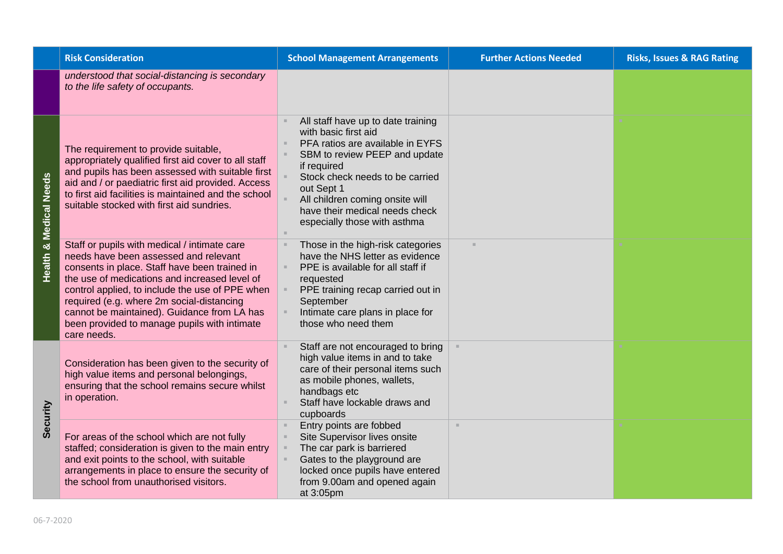|                                   | <b>Risk Consideration</b>                                                                                                                                                                                                                                                                                                                                                                             | <b>School Management Arrangements</b>                                                                                                                                                                                                                                                                | <b>Further Actions Needed</b> | <b>Risks, Issues &amp; RAG Rating</b> |
|-----------------------------------|-------------------------------------------------------------------------------------------------------------------------------------------------------------------------------------------------------------------------------------------------------------------------------------------------------------------------------------------------------------------------------------------------------|------------------------------------------------------------------------------------------------------------------------------------------------------------------------------------------------------------------------------------------------------------------------------------------------------|-------------------------------|---------------------------------------|
|                                   | understood that social-distancing is secondary<br>to the life safety of occupants.                                                                                                                                                                                                                                                                                                                    |                                                                                                                                                                                                                                                                                                      |                               |                                       |
| <b>Health &amp; Medical Needs</b> | The requirement to provide suitable,<br>appropriately qualified first aid cover to all staff<br>and pupils has been assessed with suitable first<br>aid and / or paediatric first aid provided. Access<br>to first aid facilities is maintained and the school<br>suitable stocked with first aid sundries.                                                                                           | All staff have up to date training<br>with basic first aid<br>PFA ratios are available in EYFS<br>SBM to review PEEP and update<br>if required<br>Stock check needs to be carried<br>out Sept 1<br>All children coming onsite will<br>have their medical needs check<br>especially those with asthma |                               |                                       |
|                                   | Staff or pupils with medical / intimate care<br>needs have been assessed and relevant<br>consents in place. Staff have been trained in<br>the use of medications and increased level of<br>control applied, to include the use of PPE when<br>required (e.g. where 2m social-distancing<br>cannot be maintained). Guidance from LA has<br>been provided to manage pupils with intimate<br>care needs. | Those in the high-risk categories<br>have the NHS letter as evidence<br>PPE is available for all staff if<br>requested<br>PPE training recap carried out in<br>September<br>Intimate care plans in place for<br>those who need them                                                                  | $\mathbf{u}$                  |                                       |
| Security                          | Consideration has been given to the security of<br>high value items and personal belongings,<br>ensuring that the school remains secure whilst<br>in operation.                                                                                                                                                                                                                                       | Staff are not encouraged to bring<br>high value items in and to take<br>care of their personal items such<br>as mobile phones, wallets,<br>handbags etc<br>Staff have lockable draws and<br>cupboards                                                                                                |                               |                                       |
|                                   | For areas of the school which are not fully<br>staffed; consideration is given to the main entry<br>and exit points to the school, with suitable<br>arrangements in place to ensure the security of<br>the school from unauthorised visitors.                                                                                                                                                         | Entry points are fobbed<br>Site Supervisor lives onsite<br>The car park is barriered<br>Gates to the playground are<br>locked once pupils have entered<br>from 9.00am and opened again<br>at 3:05pm                                                                                                  | $\mathbb{R}^n$                |                                       |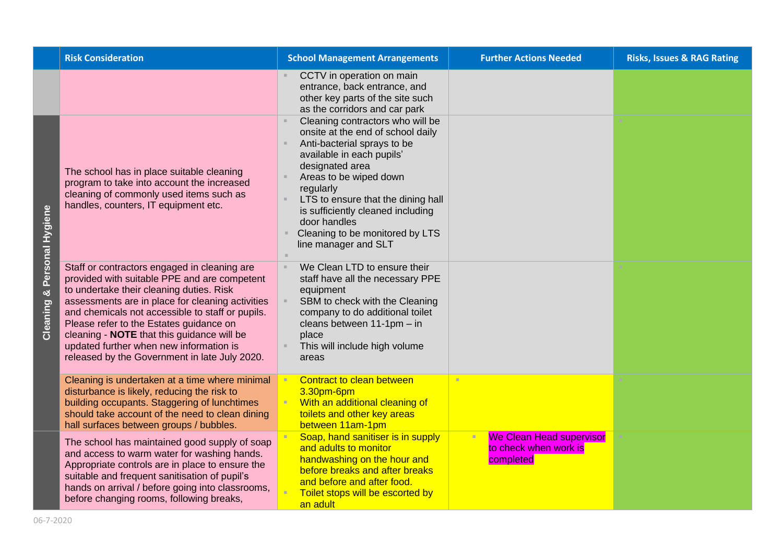|                  | <b>Risk Consideration</b>                                                                                                                                                                                                                                                                                                                                                                                                             | <b>School Management Arrangements</b>                                                                                                                                                                                                                                                                                                                                                                                                                                               | <b>Further Actions Needed</b>                                         | <b>Risks, Issues &amp; RAG Rating</b> |
|------------------|---------------------------------------------------------------------------------------------------------------------------------------------------------------------------------------------------------------------------------------------------------------------------------------------------------------------------------------------------------------------------------------------------------------------------------------|-------------------------------------------------------------------------------------------------------------------------------------------------------------------------------------------------------------------------------------------------------------------------------------------------------------------------------------------------------------------------------------------------------------------------------------------------------------------------------------|-----------------------------------------------------------------------|---------------------------------------|
| Personal Hygiene | The school has in place suitable cleaning<br>program to take into account the increased<br>cleaning of commonly used items such as<br>handles, counters, IT equipment etc.                                                                                                                                                                                                                                                            | CCTV in operation on main<br>entrance, back entrance, and<br>other key parts of the site such<br>as the corridors and car park<br>Cleaning contractors who will be<br>onsite at the end of school daily<br>Anti-bacterial sprays to be<br>available in each pupils'<br>designated area<br>Areas to be wiped down<br>regularly<br>LTS to ensure that the dining hall<br>is sufficiently cleaned including<br>door handles<br>Cleaning to be monitored by LTS<br>line manager and SLT |                                                                       |                                       |
| ಳ<br>Cleaning    | Staff or contractors engaged in cleaning are<br>provided with suitable PPE and are competent<br>to undertake their cleaning duties. Risk<br>assessments are in place for cleaning activities<br>and chemicals not accessible to staff or pupils.<br>Please refer to the Estates guidance on<br>cleaning - NOTE that this guidance will be<br>updated further when new information is<br>released by the Government in late July 2020. | We Clean LTD to ensure their<br>staff have all the necessary PPE<br>equipment<br>SBM to check with the Cleaning<br>company to do additional toilet<br>cleans between 11-1pm - in<br>place<br>This will include high volume<br>areas                                                                                                                                                                                                                                                 |                                                                       |                                       |
|                  | Cleaning is undertaken at a time where minimal<br>disturbance is likely, reducing the risk to<br>building occupants. Staggering of lunchtimes<br>should take account of the need to clean dining<br>hall surfaces between groups / bubbles.                                                                                                                                                                                           | Contract to clean between<br>3.30pm-6pm<br>With an additional cleaning of<br>toilets and other key areas<br>between 11am-1pm                                                                                                                                                                                                                                                                                                                                                        |                                                                       |                                       |
|                  | The school has maintained good supply of soap<br>and access to warm water for washing hands.<br>Appropriate controls are in place to ensure the<br>suitable and frequent sanitisation of pupil's<br>hands on arrival / before going into classrooms,<br>before changing rooms, following breaks,                                                                                                                                      | Soap, hand sanitiser is in supply<br>and adults to monitor<br>handwashing on the hour and<br>before breaks and after breaks<br>and before and after food.<br>Toilet stops will be escorted by<br>an adult                                                                                                                                                                                                                                                                           | <b>We Clean Head supervisor</b><br>to check when work is<br>completed |                                       |

06-7-2020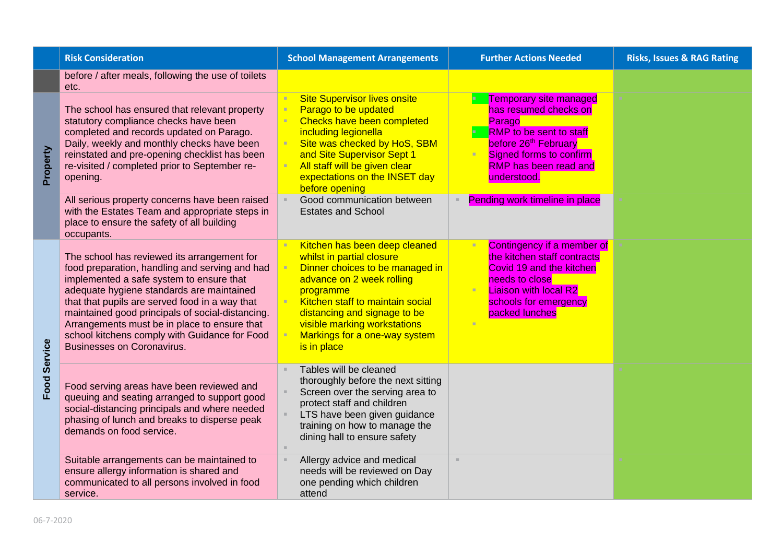|                | <b>Risk Consideration</b>                                                                                                                                                                                                                                                                                                                                                                                                          | <b>School Management Arrangements</b>                                                                                                                                                                                                                                                       | <b>Further Actions Needed</b>                                                                                                                                                                                    | <b>Risks, Issues &amp; RAG Rating</b> |
|----------------|------------------------------------------------------------------------------------------------------------------------------------------------------------------------------------------------------------------------------------------------------------------------------------------------------------------------------------------------------------------------------------------------------------------------------------|---------------------------------------------------------------------------------------------------------------------------------------------------------------------------------------------------------------------------------------------------------------------------------------------|------------------------------------------------------------------------------------------------------------------------------------------------------------------------------------------------------------------|---------------------------------------|
|                | before / after meals, following the use of toilets<br>etc.                                                                                                                                                                                                                                                                                                                                                                         |                                                                                                                                                                                                                                                                                             |                                                                                                                                                                                                                  |                                       |
| Property       | The school has ensured that relevant property<br>statutory compliance checks have been<br>completed and records updated on Parago.<br>Daily, weekly and monthly checks have been<br>reinstated and pre-opening checklist has been<br>re-visited / completed prior to September re-<br>opening.                                                                                                                                     | <b>Site Supervisor lives onsite</b><br>Parago to be updated<br>Checks have been completed<br>including legionella<br>Site was checked by HoS, SBM<br>and Site Supervisor Sept 1<br>All staff will be given clear<br>expectations on the INSET day<br>before opening                         | <b>Temporary site managed</b><br>has resumed checks on<br>Parago<br><b>RMP</b> to be sent to staff<br>before 26 <sup>th</sup> February<br>Signed forms to confirm<br><b>RMP</b> has been read and<br>understood. |                                       |
|                | All serious property concerns have been raised<br>with the Estates Team and appropriate steps in<br>place to ensure the safety of all building<br>occupants.                                                                                                                                                                                                                                                                       | Good communication between<br><b>Estates and School</b>                                                                                                                                                                                                                                     | Pending work timeline in place                                                                                                                                                                                   |                                       |
| <b>Service</b> | The school has reviewed its arrangement for<br>food preparation, handling and serving and had<br>implemented a safe system to ensure that<br>adequate hygiene standards are maintained<br>that that pupils are served food in a way that<br>maintained good principals of social-distancing.<br>Arrangements must be in place to ensure that<br>school kitchens comply with Guidance for Food<br><b>Businesses on Coronavirus.</b> | Kitchen has been deep cleaned<br>whilst in partial closure<br>Dinner choices to be managed in<br>advance on 2 week rolling<br>programme<br>Kitchen staff to maintain social<br>distancing and signage to be<br>visible marking workstations<br>Markings for a one-way system<br>is in place | Contingency if a member of<br>the kitchen staff contracts<br>Covid 19 and the kitchen<br>needs to close<br><b>Liaison with local R2</b><br>schools for emergency<br>packed lunches                               |                                       |
| Food           | Food serving areas have been reviewed and<br>queuing and seating arranged to support good<br>social-distancing principals and where needed<br>phasing of lunch and breaks to disperse peak<br>demands on food service.                                                                                                                                                                                                             | Tables will be cleaned<br>thoroughly before the next sitting<br>Screen over the serving area to<br>protect staff and children<br>LTS have been given guidance<br>training on how to manage the<br>dining hall to ensure safety                                                              |                                                                                                                                                                                                                  |                                       |
|                | Suitable arrangements can be maintained to<br>ensure allergy information is shared and<br>communicated to all persons involved in food<br>service.                                                                                                                                                                                                                                                                                 | Allergy advice and medical<br>needs will be reviewed on Day<br>one pending which children<br>attend                                                                                                                                                                                         | $\mathcal{H}$                                                                                                                                                                                                    |                                       |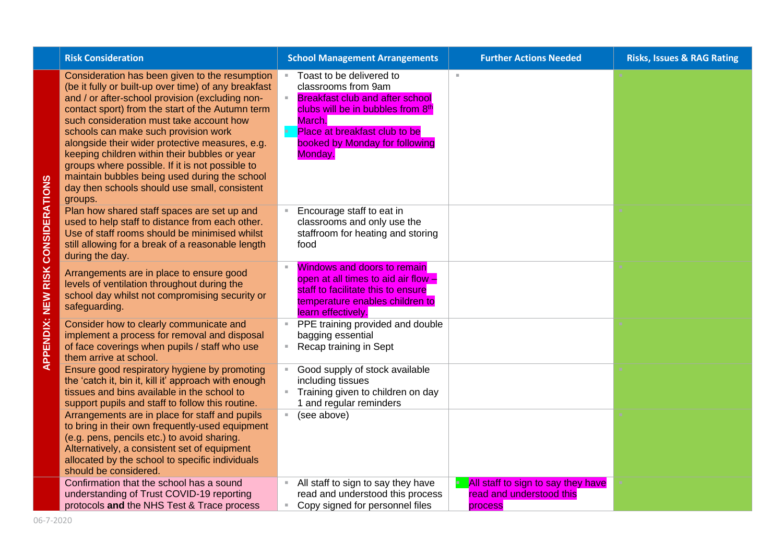| <b>Risk Consideration</b>                                                                                                                                                                                                                                                                                                                                                                                                                                                                                                                                             | <b>School Management Arrangements</b>                                                                                                                                                                                  | <b>Further Actions Needed</b>                                             | <b>Risks, Issues &amp; RAG Rating</b> |
|-----------------------------------------------------------------------------------------------------------------------------------------------------------------------------------------------------------------------------------------------------------------------------------------------------------------------------------------------------------------------------------------------------------------------------------------------------------------------------------------------------------------------------------------------------------------------|------------------------------------------------------------------------------------------------------------------------------------------------------------------------------------------------------------------------|---------------------------------------------------------------------------|---------------------------------------|
| Consideration has been given to the resumption<br>(be it fully or built-up over time) of any breakfast<br>and / or after-school provision (excluding non-<br>contact sport) from the start of the Autumn term<br>such consideration must take account how<br>schools can make such provision work<br>alongside their wider protective measures, e.g.<br>keeping children within their bubbles or year<br>groups where possible. If it is not possible to<br>maintain bubbles being used during the school<br>day then schools should use small, consistent<br>groups. | Toast to be delivered to<br>classrooms from 9am<br><b>Breakfast club and after school</b><br>clubs will be in bubbles from 8th<br>March.<br>Place at breakfast club to be<br>booked by Monday for following<br>Monday. | $\mathbb{R}^d$                                                            |                                       |
| Plan how shared staff spaces are set up and<br>used to help staff to distance from each other.<br>Use of staff rooms should be minimised whilst<br>still allowing for a break of a reasonable length<br>during the day.                                                                                                                                                                                                                                                                                                                                               | Encourage staff to eat in<br>classrooms and only use the<br>staffroom for heating and storing<br>food                                                                                                                  |                                                                           |                                       |
| Arrangements are in place to ensure good<br>levels of ventilation throughout during the<br>school day whilst not compromising security or<br>safeguarding.                                                                                                                                                                                                                                                                                                                                                                                                            | <b>Windows and doors to remain</b><br>open at all times to aid air flow -<br>staff to facilitate this to ensure<br>temperature enables children to<br>learn effectively.                                               |                                                                           |                                       |
| Consider how to clearly communicate and<br>implement a process for removal and disposal<br>of face coverings when pupils / staff who use<br>them arrive at school.                                                                                                                                                                                                                                                                                                                                                                                                    | PPE training provided and double<br>D.<br>bagging essential<br>Recap training in Sept                                                                                                                                  |                                                                           |                                       |
| Ensure good respiratory hygiene by promoting<br>the 'catch it, bin it, kill it' approach with enough<br>tissues and bins available in the school to<br>support pupils and staff to follow this routine.                                                                                                                                                                                                                                                                                                                                                               | Good supply of stock available<br>including tissues<br>Training given to children on day<br>1 and regular reminders                                                                                                    |                                                                           |                                       |
| Arrangements are in place for staff and pupils<br>to bring in their own frequently-used equipment<br>(e.g. pens, pencils etc.) to avoid sharing.<br>Alternatively, a consistent set of equipment<br>allocated by the school to specific individuals<br>should be considered.                                                                                                                                                                                                                                                                                          | (see above)<br>m.                                                                                                                                                                                                      |                                                                           |                                       |
| Confirmation that the school has a sound<br>understanding of Trust COVID-19 reporting<br>protocols and the NHS Test & Trace process                                                                                                                                                                                                                                                                                                                                                                                                                                   | All staff to sign to say they have<br>read and understood this process<br>Copy signed for personnel files<br>٠,                                                                                                        | All staff to sign to say they have<br>read and understood this<br>process |                                       |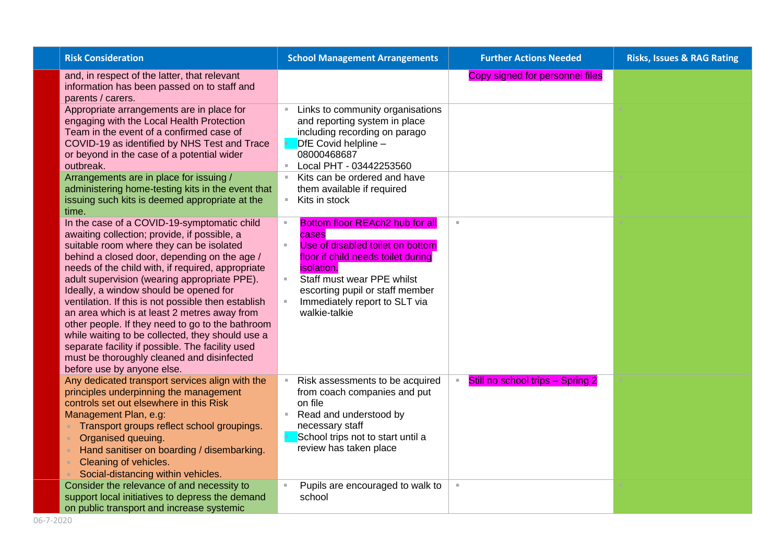| <b>Risk Consideration</b>                                                                                                                                                                                                                                                                                                                                                                                                                                                                                                                                                                                                                                                             | <b>School Management Arrangements</b>                                                                                                                                                                                                                                               | <b>Further Actions Needed</b>                      | <b>Risks, Issues &amp; RAG Rating</b> |
|---------------------------------------------------------------------------------------------------------------------------------------------------------------------------------------------------------------------------------------------------------------------------------------------------------------------------------------------------------------------------------------------------------------------------------------------------------------------------------------------------------------------------------------------------------------------------------------------------------------------------------------------------------------------------------------|-------------------------------------------------------------------------------------------------------------------------------------------------------------------------------------------------------------------------------------------------------------------------------------|----------------------------------------------------|---------------------------------------|
| and, in respect of the latter, that relevant<br>information has been passed on to staff and<br>parents / carers.                                                                                                                                                                                                                                                                                                                                                                                                                                                                                                                                                                      |                                                                                                                                                                                                                                                                                     | Copy signed for personnel files                    |                                       |
| Appropriate arrangements are in place for<br>engaging with the Local Health Protection<br>Team in the event of a confirmed case of<br>COVID-19 as identified by NHS Test and Trace<br>or beyond in the case of a potential wider<br>outbreak.<br>Arrangements are in place for issuing /<br>administering home-testing kits in the event that<br>issuing such kits is deemed appropriate at the<br>time.                                                                                                                                                                                                                                                                              | Links to community organisations<br>and reporting system in place<br>including recording on parago<br>DfE Covid helpline -<br>08000468687<br>Local PHT - 03442253560<br>Kits can be ordered and have<br>them available if required<br>Kits in stock<br>$\mathbb{R}^n$               |                                                    |                                       |
| In the case of a COVID-19-symptomatic child<br>awaiting collection; provide, if possible, a<br>suitable room where they can be isolated<br>behind a closed door, depending on the age /<br>needs of the child with, if required, appropriate<br>adult supervision (wearing appropriate PPE).<br>Ideally, a window should be opened for<br>ventilation. If this is not possible then establish<br>an area which is at least 2 metres away from<br>other people. If they need to go to the bathroom<br>while waiting to be collected, they should use a<br>separate facility if possible. The facility used<br>must be thoroughly cleaned and disinfected<br>before use by anyone else. | Bottom floor REAch2 hub for all<br>cases<br>Use of disabled toilet on bottom<br>$\bar{a}$<br>floor if child needs toilet during<br><i>isolation.</i><br>Staff must wear PPE whilst<br>$\alpha$<br>escorting pupil or staff member<br>Immediately report to SLT via<br>walkie-talkie | ×                                                  |                                       |
| Any dedicated transport services align with the<br>principles underpinning the management<br>controls set out elsewhere in this Risk<br>Management Plan, e.g:<br>Transport groups reflect school groupings.<br>Organised queuing.<br>Hand sanitiser on boarding / disembarking.<br>Cleaning of vehicles.<br>Social-distancing within vehicles.<br>Consider the relevance of and necessity to                                                                                                                                                                                                                                                                                          | Risk assessments to be acquired<br>from coach companies and put<br>on file<br>Read and understood by<br>necessary staff<br>School trips not to start until a<br>review has taken place<br>Pupils are encouraged to walk to                                                          | Still no school trips - Spring 2<br>$\pm$<br>$\pm$ |                                       |
| support local initiatives to depress the demand<br>on public transport and increase systemic                                                                                                                                                                                                                                                                                                                                                                                                                                                                                                                                                                                          | school                                                                                                                                                                                                                                                                              |                                                    |                                       |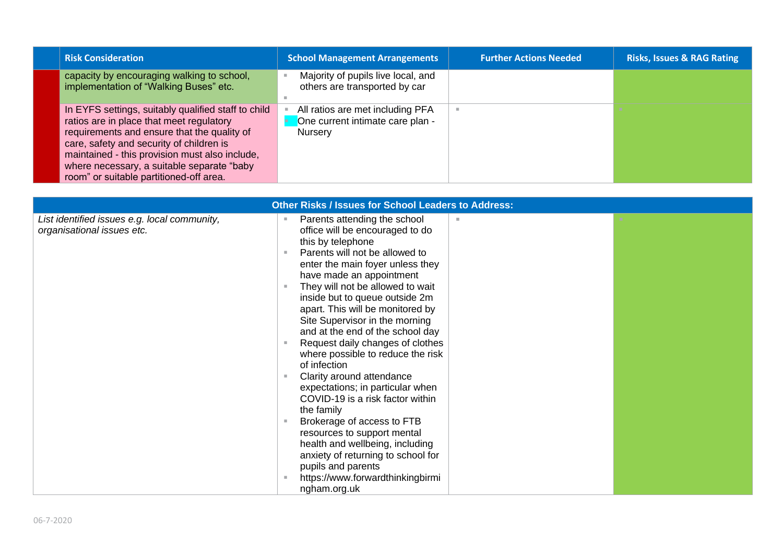| <b>Risk Consideration</b>                                                                                                                                                                                                                                                                                                             | <b>School Management Arrangements</b>                                                  | <b>Further Actions Needed</b> | <b>Risks, Issues &amp; RAG Rating</b> |
|---------------------------------------------------------------------------------------------------------------------------------------------------------------------------------------------------------------------------------------------------------------------------------------------------------------------------------------|----------------------------------------------------------------------------------------|-------------------------------|---------------------------------------|
| capacity by encouraging walking to school,<br>implementation of "Walking Buses" etc.                                                                                                                                                                                                                                                  | Majority of pupils live local, and<br>others are transported by car                    |                               |                                       |
| In EYFS settings, suitably qualified staff to child<br>ratios are in place that meet regulatory<br>requirements and ensure that the quality of<br>care, safety and security of children is<br>maintained - this provision must also include,<br>where necessary, a suitable separate "baby<br>room" or suitable partitioned-off area. | All ratios are met including PFA<br>One current intimate care plan -<br><b>Nursery</b> |                               |                                       |

| <b>Other Risks / Issues for School Leaders to Address:</b>                 |                                                                                                                                                                                                                                                                                                                                                                                                                                                                                                                                                                                                                                                                                                                                                                                                  |  |  |
|----------------------------------------------------------------------------|--------------------------------------------------------------------------------------------------------------------------------------------------------------------------------------------------------------------------------------------------------------------------------------------------------------------------------------------------------------------------------------------------------------------------------------------------------------------------------------------------------------------------------------------------------------------------------------------------------------------------------------------------------------------------------------------------------------------------------------------------------------------------------------------------|--|--|
| List identified issues e.g. local community,<br>organisational issues etc. | Parents attending the school<br>ш<br>m.<br>office will be encouraged to do<br>this by telephone<br>Parents will not be allowed to<br>$\mathbf{H}$<br>enter the main foyer unless they<br>have made an appointment<br>They will not be allowed to wait<br>inside but to queue outside 2m<br>apart. This will be monitored by<br>Site Supervisor in the morning<br>and at the end of the school day<br>Request daily changes of clothes<br>where possible to reduce the risk<br>of infection<br>Clarity around attendance<br>×<br>expectations; in particular when<br>COVID-19 is a risk factor within<br>the family<br>Brokerage of access to FTB<br>$\mathbb{R}^2$<br>resources to support mental<br>health and wellbeing, including<br>anxiety of returning to school for<br>pupils and parents |  |  |
|                                                                            | https://www.forwardthinkingbirmi<br>ngham.org.uk                                                                                                                                                                                                                                                                                                                                                                                                                                                                                                                                                                                                                                                                                                                                                 |  |  |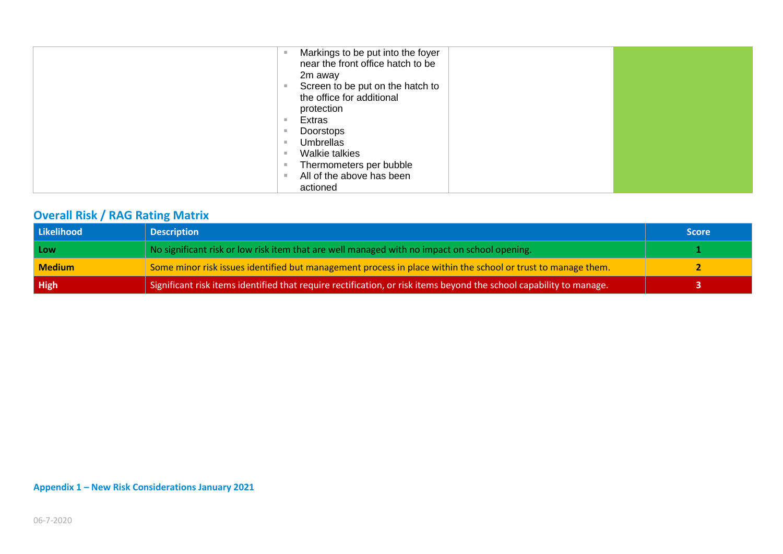| Markings to be put into the foyer<br>near the front office hatch to be<br>2m away |  |
|-----------------------------------------------------------------------------------|--|
| Screen to be put on the hatch to<br>the office for additional<br>protection       |  |
| Extras                                                                            |  |
| Doorstops                                                                         |  |
| Umbrellas                                                                         |  |
| Walkie talkies                                                                    |  |
| Thermometers per bubble                                                           |  |
| All of the above has been                                                         |  |
| actioned                                                                          |  |

## **Overall Risk / RAG Rating Matrix**

| Likelihood    | <b>Description</b>                                                                                                  | <b>Score</b> |
|---------------|---------------------------------------------------------------------------------------------------------------------|--------------|
| Low           | No significant risk or low risk item that are well managed with no impact on school opening.                        |              |
| <b>Medium</b> | Some minor risk issues identified but management process in place within the school or trust to manage them.        |              |
| High          | Significant risk items identified that require rectification, or risk items beyond the school capability to manage. |              |

**Appendix 1 – New Risk Considerations January 2021**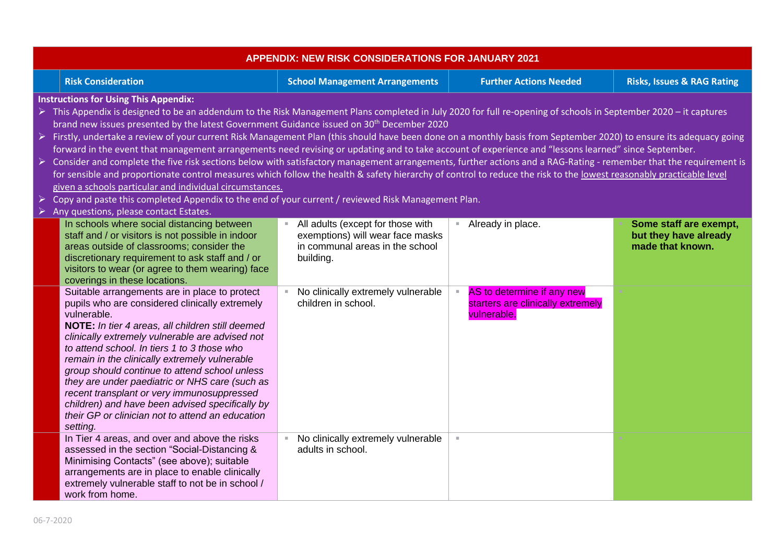| <b>APPENDIX: NEW RISK CONSIDERATIONS FOR JANUARY 2021</b>                                                                                                                                                                                                                                                                                                                                                                                                                                                                                                                                                                                                                                                                                                                                                                                                                                                                                                                                                                                                                                                                                                              |                                                                                                                       |                                                                                |                                                                     |  |  |
|------------------------------------------------------------------------------------------------------------------------------------------------------------------------------------------------------------------------------------------------------------------------------------------------------------------------------------------------------------------------------------------------------------------------------------------------------------------------------------------------------------------------------------------------------------------------------------------------------------------------------------------------------------------------------------------------------------------------------------------------------------------------------------------------------------------------------------------------------------------------------------------------------------------------------------------------------------------------------------------------------------------------------------------------------------------------------------------------------------------------------------------------------------------------|-----------------------------------------------------------------------------------------------------------------------|--------------------------------------------------------------------------------|---------------------------------------------------------------------|--|--|
| <b>Risk Consideration</b>                                                                                                                                                                                                                                                                                                                                                                                                                                                                                                                                                                                                                                                                                                                                                                                                                                                                                                                                                                                                                                                                                                                                              | <b>School Management Arrangements</b>                                                                                 | <b>Further Actions Needed</b>                                                  | <b>Risks, Issues &amp; RAG Rating</b>                               |  |  |
| <b>Instructions for Using This Appendix:</b><br>≻ This Appendix is designed to be an addendum to the Risk Management Plans completed in July 2020 for full re-opening of schools in September 2020 – it captures<br>brand new issues presented by the latest Government Guidance issued on 30 <sup>th</sup> December 2020<br>Firstly, undertake a review of your current Risk Management Plan (this should have been done on a monthly basis from September 2020) to ensure its adequacy going<br>forward in the event that management arrangements need revising or updating and to take account of experience and "lessons learned" since September.<br>> Consider and complete the five risk sections below with satisfactory management arrangements, further actions and a RAG-Rating - remember that the requirement is<br>for sensible and proportionate control measures which follow the health & safety hierarchy of control to reduce the risk to the lowest reasonably practicable level<br>given a schools particular and individual circumstances.<br>Copy and paste this completed Appendix to the end of your current / reviewed Risk Management Plan. |                                                                                                                       |                                                                                |                                                                     |  |  |
| Any questions, please contact Estates.<br>In schools where social distancing between<br>staff and / or visitors is not possible in indoor<br>areas outside of classrooms; consider the<br>discretionary requirement to ask staff and / or<br>visitors to wear (or agree to them wearing) face<br>coverings in these locations.                                                                                                                                                                                                                                                                                                                                                                                                                                                                                                                                                                                                                                                                                                                                                                                                                                         | All adults (except for those with<br>exemptions) will wear face masks<br>in communal areas in the school<br>building. | Already in place.                                                              | Some staff are exempt,<br>but they have already<br>made that known. |  |  |
| Suitable arrangements are in place to protect<br>pupils who are considered clinically extremely<br>vulnerable.<br>NOTE: In tier 4 areas, all children still deemed<br>clinically extremely vulnerable are advised not<br>to attend school. In tiers 1 to 3 those who<br>remain in the clinically extremely vulnerable<br>group should continue to attend school unless<br>they are under paediatric or NHS care (such as<br>recent transplant or very immunosuppressed<br>children) and have been advised specifically by<br>their GP or clinician not to attend an education<br>setting.                                                                                                                                                                                                                                                                                                                                                                                                                                                                                                                                                                              | No clinically extremely vulnerable<br>children in school.                                                             | AS to determine if any new<br>starters are clinically extremely<br>vulnerable. |                                                                     |  |  |
| In Tier 4 areas, and over and above the risks<br>assessed in the section "Social-Distancing &<br>Minimising Contacts" (see above); suitable<br>arrangements are in place to enable clinically<br>extremely vulnerable staff to not be in school /<br>work from home.                                                                                                                                                                                                                                                                                                                                                                                                                                                                                                                                                                                                                                                                                                                                                                                                                                                                                                   | No clinically extremely vulnerable<br>adults in school.                                                               | ×.                                                                             |                                                                     |  |  |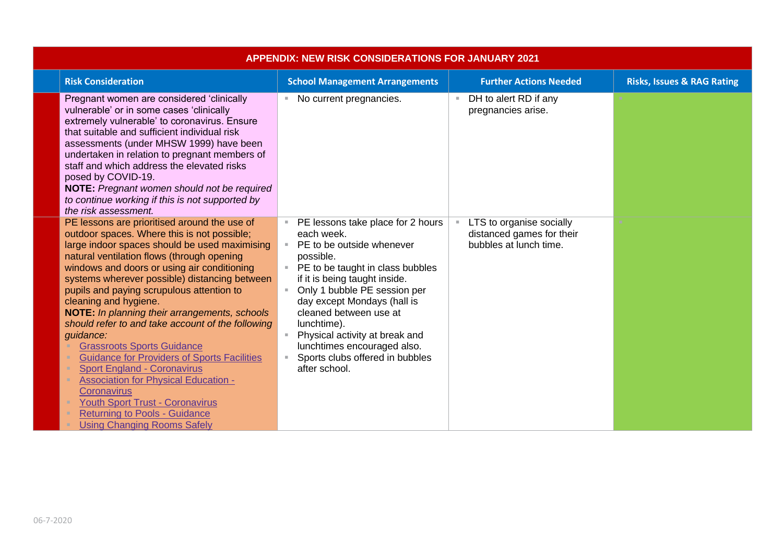| <b>APPENDIX: NEW RISK CONSIDERATIONS FOR JANUARY 2021</b> |                                                                                                                                                                                                                                                                                                                                                                                                                                                                                                                                                                                                                                                                                                                                                                                                            |                                                                                                                                                                                                                                                                                                                                                                                                                 |                                                                                 |                                       |  |
|-----------------------------------------------------------|------------------------------------------------------------------------------------------------------------------------------------------------------------------------------------------------------------------------------------------------------------------------------------------------------------------------------------------------------------------------------------------------------------------------------------------------------------------------------------------------------------------------------------------------------------------------------------------------------------------------------------------------------------------------------------------------------------------------------------------------------------------------------------------------------------|-----------------------------------------------------------------------------------------------------------------------------------------------------------------------------------------------------------------------------------------------------------------------------------------------------------------------------------------------------------------------------------------------------------------|---------------------------------------------------------------------------------|---------------------------------------|--|
|                                                           | <b>Risk Consideration</b>                                                                                                                                                                                                                                                                                                                                                                                                                                                                                                                                                                                                                                                                                                                                                                                  | <b>School Management Arrangements</b>                                                                                                                                                                                                                                                                                                                                                                           | <b>Further Actions Needed</b>                                                   | <b>Risks, Issues &amp; RAG Rating</b> |  |
|                                                           | Pregnant women are considered 'clinically<br>vulnerable' or in some cases 'clinically<br>extremely vulnerable' to coronavirus. Ensure<br>that suitable and sufficient individual risk<br>assessments (under MHSW 1999) have been<br>undertaken in relation to pregnant members of<br>staff and which address the elevated risks<br>posed by COVID-19.<br>NOTE: Pregnant women should not be required<br>to continue working if this is not supported by<br>the risk assessment.                                                                                                                                                                                                                                                                                                                            | No current pregnancies.<br>×.                                                                                                                                                                                                                                                                                                                                                                                   | DH to alert RD if any<br>$\mathbb{R}^n$<br>pregnancies arise.                   |                                       |  |
|                                                           | PE lessons are prioritised around the use of<br>outdoor spaces. Where this is not possible;<br>large indoor spaces should be used maximising<br>natural ventilation flows (through opening<br>windows and doors or using air conditioning<br>systems wherever possible) distancing between<br>pupils and paying scrupulous attention to<br>cleaning and hygiene.<br>NOTE: In planning their arrangements, schools<br>should refer to and take account of the following<br>guidance:<br><b>Grassroots Sports Guidance</b><br><b>Guidance for Providers of Sports Facilities</b><br><b>Sport England - Coronavirus</b><br><b>Association for Physical Education -</b><br>Coronavirus<br><b>Youth Sport Trust - Coronavirus</b><br><b>Returning to Pools - Guidance</b><br><b>Using Changing Rooms Safely</b> | PE lessons take place for 2 hours<br>each week.<br>PE to be outside whenever<br>$\mathbb{R}^n$ .<br>possible.<br>PE to be taught in class bubbles<br>if it is being taught inside.<br>Only 1 bubble PE session per<br>day except Mondays (hall is<br>cleaned between use at<br>lunchtime).<br>Physical activity at break and<br>lunchtimes encouraged also.<br>Sports clubs offered in bubbles<br>after school. | LTS to organise socially<br>distanced games for their<br>bubbles at lunch time. |                                       |  |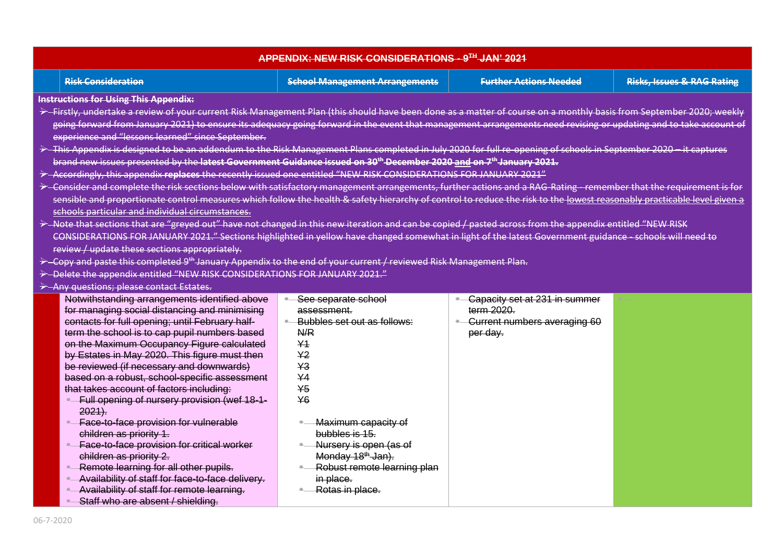| APPENDIX: NEW RISK CONSIDERATIONS - 9TH JAN' 2021          |                                                                                                                                                                         |                                       |                                |                                       |  |  |  |
|------------------------------------------------------------|-------------------------------------------------------------------------------------------------------------------------------------------------------------------------|---------------------------------------|--------------------------------|---------------------------------------|--|--|--|
|                                                            | <b>Risk Consideration</b>                                                                                                                                               | <b>School Management Arrangements</b> | <b>Further Actions Needed</b>  | <b>Risks, Issues &amp; RAG Rating</b> |  |  |  |
|                                                            | <b>Instructions for Using This Appendix:</b>                                                                                                                            |                                       |                                |                                       |  |  |  |
|                                                            | >-Firstly, undertake a review of your current Risk Management Plan (this should have been done as a matter of course on a monthly basis from September 2020; weekly     |                                       |                                |                                       |  |  |  |
|                                                            | going forward from January 2021) to ensure its adequacy going forward in the event that management arrangements need revising or updating and to take account of        |                                       |                                |                                       |  |  |  |
|                                                            | experience and "lessons learned" since September.                                                                                                                       |                                       |                                |                                       |  |  |  |
|                                                            | > This Appendix is designed to be an addendum to the Risk Management Plans completed in July 2020 for full re-opening of schools in September 2020 - it captures        |                                       |                                |                                       |  |  |  |
|                                                            | brand new issues presented by the latest Government Guidance issued on 30 <sup>th</sup> December 2020 and on 7 <sup>th</sup> January 2021.                              |                                       |                                |                                       |  |  |  |
|                                                            | > Accordingly, this appendix replaces the recently issued one entitled "NEW RISK CONSIDERATIONS FOR JANUARY 2021"                                                       |                                       |                                |                                       |  |  |  |
|                                                            | > Consider and complete the risk sections below with satisfactory management arrangements, further actions and a RAG-Rating - remember that the requirement is for      |                                       |                                |                                       |  |  |  |
|                                                            | sensible and proportionate control measures which follow the health & safety hierarchy of control to reduce the risk to the lowest reasonably practicable level given a |                                       |                                |                                       |  |  |  |
|                                                            | schools particular and individual circumstances.                                                                                                                        |                                       |                                |                                       |  |  |  |
|                                                            | > Note that sections that are "greyed out" have not changed in this new iteration and can be copied / pasted across from the appendix entitled "NEW RISK                |                                       |                                |                                       |  |  |  |
|                                                            | CONSIDERATIONS FOR JANUARY 2021." Sections highlighted in yellow have changed somewhat in light of the latest Government guidance - schools will need to                |                                       |                                |                                       |  |  |  |
|                                                            | review / update these sections appropriately.                                                                                                                           |                                       |                                |                                       |  |  |  |
|                                                            | > Copy and paste this completed 9 <sup>th</sup> January Appendix to the end of your current / reviewed Risk Management Plan.                                            |                                       |                                |                                       |  |  |  |
|                                                            | > Delete the appendix entitled "NEW RISK CONSIDERATIONS FOR JANUARY 2021."                                                                                              |                                       |                                |                                       |  |  |  |
|                                                            | > Any questions; please contact Estates.                                                                                                                                |                                       |                                |                                       |  |  |  |
|                                                            | Notwithstanding arrangements identified above<br>See separate school<br>Capacity set at 231 in summer                                                                   |                                       |                                |                                       |  |  |  |
|                                                            | for managing social distancing and minimising                                                                                                                           | assessment.                           | term 2020.                     |                                       |  |  |  |
|                                                            | contacts for full opening; until February half-                                                                                                                         | Bubbles set out as follows:<br>$\pm$  | - Current numbers averaging 60 |                                       |  |  |  |
|                                                            | term the school is to cap pupil numbers based                                                                                                                           | N/R                                   | per day.                       |                                       |  |  |  |
|                                                            | on the Maximum Occupancy Figure calculated                                                                                                                              | Y <sub>1</sub>                        |                                |                                       |  |  |  |
|                                                            | by Estates in May 2020. This figure must then                                                                                                                           | Y <sub>2</sub>                        |                                |                                       |  |  |  |
|                                                            | be reviewed (if necessary and downwards)                                                                                                                                | Y3                                    |                                |                                       |  |  |  |
|                                                            | based on a robust, school-specific assessment                                                                                                                           | Y <sub>4</sub><br>$\overline{45}$     |                                |                                       |  |  |  |
|                                                            | that takes account of factors including:                                                                                                                                | Y6                                    |                                |                                       |  |  |  |
| - Full opening of nursery provision (wef 18-1-<br>$2021$ . |                                                                                                                                                                         |                                       |                                |                                       |  |  |  |
| - Face-to-face provision for vulnerable                    |                                                                                                                                                                         | Maximum capacity of                   |                                |                                       |  |  |  |
|                                                            | children as priority 1.                                                                                                                                                 | bubbles is 15.                        |                                |                                       |  |  |  |
| - Face-to-face provision for critical worker               |                                                                                                                                                                         | Nursery is open (as of                |                                |                                       |  |  |  |
| children as priority 2.                                    |                                                                                                                                                                         | Monday 18 <sup>th</sup> Jan).         |                                |                                       |  |  |  |
|                                                            | - Remote learning for all other pupils.                                                                                                                                 | Robust remote learning plan           |                                |                                       |  |  |  |
|                                                            | - Availability of staff for face-to-face delivery.                                                                                                                      | in place.                             |                                |                                       |  |  |  |
|                                                            | - Availability of staff for remote learning.                                                                                                                            | Rotas in place.                       |                                |                                       |  |  |  |
|                                                            | Staff who are absent / shielding.                                                                                                                                       |                                       |                                |                                       |  |  |  |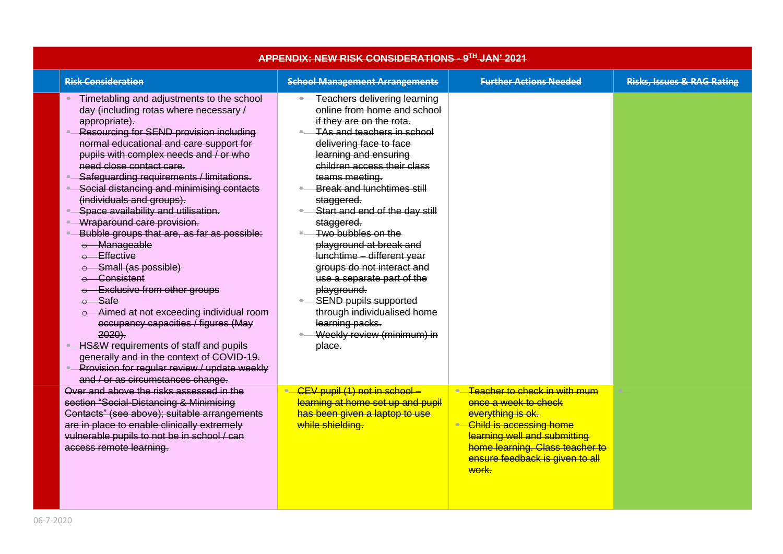| APPENDIX: NEW RISK CONSIDERATIONS - 9TH JAN' 2021                                                                                                                                                                                                                                                                                                                                                                                                                                                                                                                                                                                                                                                                                                                                                                                                                                                                                 |                                                                                                                                                                                                                                                                                                                                                                                                                                                                                                                                                                                                                   |                                                                                                                                                                                                                       |                                       |  |  |  |
|-----------------------------------------------------------------------------------------------------------------------------------------------------------------------------------------------------------------------------------------------------------------------------------------------------------------------------------------------------------------------------------------------------------------------------------------------------------------------------------------------------------------------------------------------------------------------------------------------------------------------------------------------------------------------------------------------------------------------------------------------------------------------------------------------------------------------------------------------------------------------------------------------------------------------------------|-------------------------------------------------------------------------------------------------------------------------------------------------------------------------------------------------------------------------------------------------------------------------------------------------------------------------------------------------------------------------------------------------------------------------------------------------------------------------------------------------------------------------------------------------------------------------------------------------------------------|-----------------------------------------------------------------------------------------------------------------------------------------------------------------------------------------------------------------------|---------------------------------------|--|--|--|
| <b>Risk Consideration</b>                                                                                                                                                                                                                                                                                                                                                                                                                                                                                                                                                                                                                                                                                                                                                                                                                                                                                                         | <b>School Management Arrangements</b>                                                                                                                                                                                                                                                                                                                                                                                                                                                                                                                                                                             | <b>Further Actions Needed</b>                                                                                                                                                                                         | <b>Risks, Issues &amp; RAG Rating</b> |  |  |  |
| Timetabling and adjustments to the school<br>day (including rotas where necessary /<br>appropriate).<br>Resourcing for SEND provision including<br>normal educational and care support for<br>pupils with complex needs and / or who<br>need close contact care.<br>Safeguarding requirements / limitations.<br>۰.<br>Social distancing and minimising contacts<br>(individuals and groups).<br>Space availability and utilisation.<br>$\bullet$<br>Wraparound care provision.<br>- Bubble groups that are, as far as possible:<br>e Manageable<br>e Effective<br>e Small (as possible)<br>e Consistent<br>e Exclusive from other groups<br>$e$ Safe<br>e Aimed at not exceeding individual room<br>occupancy capacities / figures (May<br>$2020$ ).<br>HS&W requirements of staff and pupils<br>generally and in the context of COVID-19.<br>- Provision for regular review / update weekly<br>and / or as circumstances change. | <b>Teachers delivering learning</b><br>online from home and school<br>if they are on the rota.<br>TAs and teachers in school<br>delivering face to face<br>learning and ensuring<br>children access their class<br>teams meeting.<br>Break and lunchtimes still<br>staggered.<br>Start and end of the day still<br>staggered.<br>Two bubbles on the<br>playground at break and<br>lunchtime - different year<br>groups do not interact and<br>use a separate part of the<br>playground.<br><b>SEND pupils supported</b><br>through individualised home<br>learning packs.<br>Weekly review (minimum) in<br>place. |                                                                                                                                                                                                                       |                                       |  |  |  |
| Over and above the risks assessed in the<br>section "Social-Distancing & Minimising<br>Contacts" (see above); suitable arrangements<br>are in place to enable clinically extremely<br>vulnerable pupils to not be in school / can<br>access remote learning.                                                                                                                                                                                                                                                                                                                                                                                                                                                                                                                                                                                                                                                                      | - CEV pupil (1) not in school -<br>learning at home set up and pupil<br>has been given a laptop to use<br>while shielding.                                                                                                                                                                                                                                                                                                                                                                                                                                                                                        | • Teacher to check in with mum<br>once a week to check<br>everything is ok.<br>Child is accessing home<br>learning well and submitting<br>home learning. Class teacher to<br>ensure feedback is given to all<br>work. |                                       |  |  |  |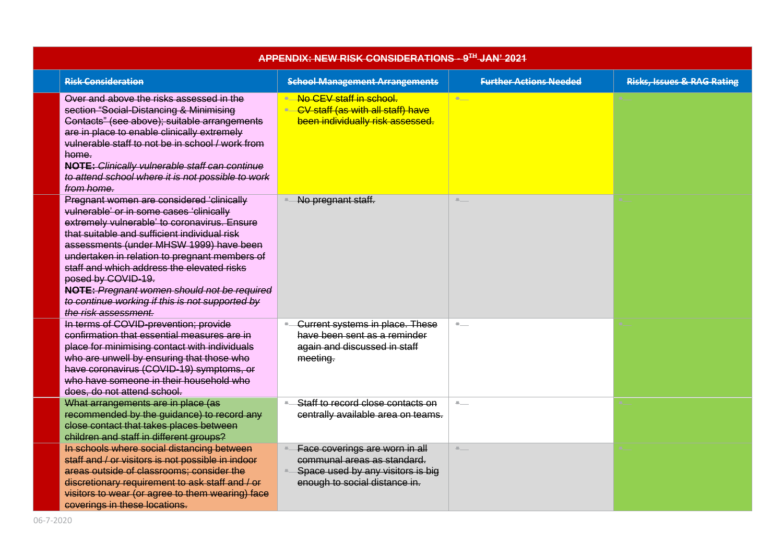| APPENDIX: NEW RISK CONSIDERATIONS - 9TH JAN' 2021                                                                                                                                                                                                                                                                                                                                                                                                                               |                                                                                                                                     |                               |                                       |  |
|---------------------------------------------------------------------------------------------------------------------------------------------------------------------------------------------------------------------------------------------------------------------------------------------------------------------------------------------------------------------------------------------------------------------------------------------------------------------------------|-------------------------------------------------------------------------------------------------------------------------------------|-------------------------------|---------------------------------------|--|
| <b>Risk Consideration</b>                                                                                                                                                                                                                                                                                                                                                                                                                                                       | <b>School Management Arrangements</b>                                                                                               | <b>Further Actions Needed</b> | <b>Risks, Issues &amp; RAG Rating</b> |  |
| Over and above the risks assessed in the<br>section "Social-Distancing & Minimising<br>Contacts" (see above); suitable arrangements<br>are in place to enable clinically extremely<br>vulnerable staff to not be in school / work from<br>home.<br><b>NOTE:</b> Clinically vulnerable staff can continue<br>to attend school where it is not possible to work<br>from home.                                                                                                     | • No CEV staff in school.<br>• CV staff (as with all staff) have<br>been individually risk assessed.                                | <b>Burnet</b>                 |                                       |  |
| Pregnant women are considered 'clinically<br>vulnerable' or in some cases 'clinically<br>extremely vulnerable' to coronavirus. Ensure<br>that suitable and sufficient individual risk<br>assessments (under MHSW 1999) have been<br>undertaken in relation to pregnant members of<br>staff and which address the elevated risks<br>posed by COVID-19.<br>NOTE: Pregnant women should not be required<br>to continue working if this is not supported by<br>the risk assessment. | No pregnant staff.                                                                                                                  | $\blacksquare$                |                                       |  |
| In terms of COVID-prevention; provide<br>confirmation that essential measures are in<br>place for minimising contact with individuals<br>who are unwell by ensuring that those who<br>have coronavirus (COVID-19) symptoms, or<br>who have someone in their household who<br>does, do not attend school.                                                                                                                                                                        | <b>Current systems in place. These</b><br>have been sent as a reminder<br>again and discussed in staff<br>meeting.                  | $\blacksquare$                |                                       |  |
| What arrangements are in place (as<br>recommended by the guidance) to record any<br>close contact that takes places between<br>children and staff in different groups?                                                                                                                                                                                                                                                                                                          | Staff to record close contacts on<br>centrally available area on teams.                                                             | $\mathbf{z}$                  |                                       |  |
| In schools where social distancing between<br>staff and / or visitors is not possible in indoor<br>areas outside of classrooms; consider the<br>discretionary requirement to ask staff and / or<br>visitors to wear (or agree to them wearing) face<br>coverings in these locations.                                                                                                                                                                                            | Face coverings are worn in all<br>communal areas as standard.<br>Space used by any visitors is big<br>enough to social distance in. | $\mathbb{R}$                  |                                       |  |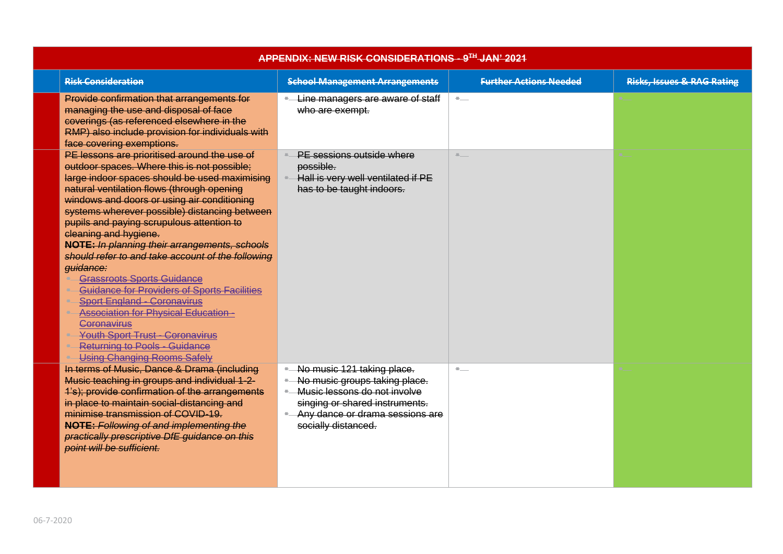| APPENDIX: NEW RISK CONSIDERATIONS - 9TH JAN' 2021                                                                                                                                                                                                                                                                                                                                                                                                                                                                                                                                                                                                                                                                                                                                                  |                                                                                                                                                                                             |                               |                                       |  |  |
|----------------------------------------------------------------------------------------------------------------------------------------------------------------------------------------------------------------------------------------------------------------------------------------------------------------------------------------------------------------------------------------------------------------------------------------------------------------------------------------------------------------------------------------------------------------------------------------------------------------------------------------------------------------------------------------------------------------------------------------------------------------------------------------------------|---------------------------------------------------------------------------------------------------------------------------------------------------------------------------------------------|-------------------------------|---------------------------------------|--|--|
| <b>Risk Consideration</b>                                                                                                                                                                                                                                                                                                                                                                                                                                                                                                                                                                                                                                                                                                                                                                          | <b>School Management Arrangements</b>                                                                                                                                                       | <b>Further Actions Needed</b> | <b>Risks, Issues &amp; RAG Rating</b> |  |  |
| Provide confirmation that arrangements for<br>managing the use and disposal of face<br>coverings (as referenced elsewhere in the<br>RMP) also include provision for individuals with<br>face covering exemptions.                                                                                                                                                                                                                                                                                                                                                                                                                                                                                                                                                                                  | - Line managers are aware of staff<br>who are exempt.                                                                                                                                       | $\blacksquare$                |                                       |  |  |
| PE lessons are prioritised around the use of<br>outdoor spaces. Where this is not possible;<br>large indoor spaces should be used maximising<br>natural ventilation flows (through opening<br>windows and doors or using air conditioning<br>systems wherever possible) distancing between<br>pupils and paying scrupulous attention to<br>cleaning and hygiene.<br>NOTE: In planning their arrangements, schools<br>should refer to and take account of the following<br>guidance:<br><b>Grassroots Sports Guidance</b><br>Guidance for Providers of Sports Facilities<br><b>Sport England - Coronavirus</b><br><b>Association for Physical Education-</b><br>Coronavirus<br><b>Youth Sport Trust - Coronavirus</b><br><b>Returning to Pools - Guidance</b><br><b>Using Changing Rooms Safely</b> | PE sessions outside where<br>possible.<br>- Hall is very well ventilated if PE<br>has to be taught indoors.                                                                                 | <b>Allen Co</b>               |                                       |  |  |
| In terms of Music, Dance & Drama (including<br>Music teaching in groups and individual 1-2-<br>1's); provide confirmation of the arrangements<br>in place to maintain social-distancing and<br>minimise transmission of COVID-19.<br><b>NOTE: Following of and implementing the</b><br>practically prescriptive DfE guidance on this<br>point will be sufficient.                                                                                                                                                                                                                                                                                                                                                                                                                                  | No music 121 taking place.<br>No music groups taking place.<br>- Music lessons do not involve<br>singing or shared instruments.<br>- Any dance or drama sessions are<br>socially distanced. | $\mathbb{R}^{n-1}$            |                                       |  |  |